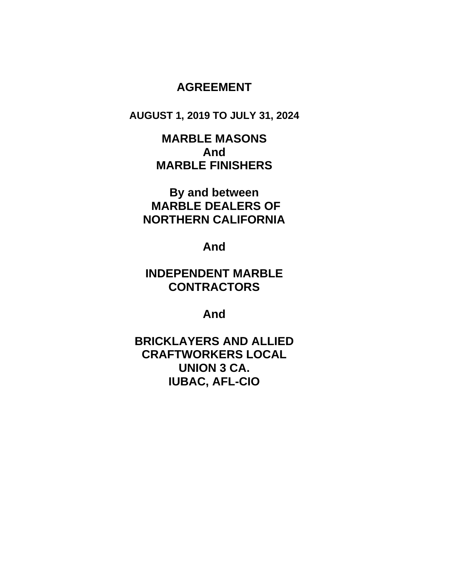# **AGREEMENT**

**AUGUST 1, 2019 TO JULY 31, 2024**

**MARBLE MASONS And MARBLE FINISHERS**

**By and between MARBLE DEALERS OF NORTHERN CALIFORNIA**

**And**

**INDEPENDENT MARBLE CONTRACTORS**

**And**

**BRICKLAYERS AND ALLIED CRAFTWORKERS LOCAL UNION 3 CA. IUBAC, AFL-CIO**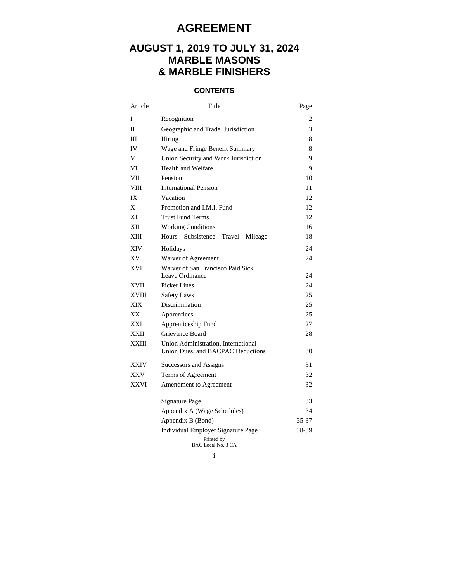# **AGREEMENT**

# **AUGUST 1, 2019 TO JULY 31, 2024 MARBLE MASONS & MARBLE FINISHERS**

# **CONTENTS**

| Article | Title                                                                    | Page  |
|---------|--------------------------------------------------------------------------|-------|
| I       | Recognition                                                              | 2     |
| П       | Geographic and Trade Jurisdiction                                        | 3     |
| Ш       | Hiring                                                                   | 8     |
| IV      | Wage and Fringe Benefit Summary                                          | 8     |
| V       | Union Security and Work Jurisdiction                                     | 9     |
| VI      | Health and Welfare                                                       | 9     |
| VII     | Pension                                                                  | 10    |
| VIII    | <b>International Pension</b>                                             | 11    |
| IX      | Vacation                                                                 | 12    |
| X       | Promotion and I.M.I. Fund                                                | 12    |
| ХI      | <b>Trust Fund Terms</b>                                                  | 12    |
| XІI     | <b>Working Conditions</b>                                                | 16    |
| XШ      | Hours - Subsistence - Travel - Mileage                                   | 18    |
| XIV     | Holidays                                                                 | 24    |
| XV      | Waiver of Agreement                                                      | 24    |
| XVI     | Waiver of San Francisco Paid Sick                                        |       |
|         | Leave Ordinance                                                          | 24    |
| XVII    | Picket Lines                                                             | 24    |
| XVIII   | <b>Safety Laws</b>                                                       | 25    |
| XIX     | Discrimination                                                           | 25    |
| XХ      | Apprentices                                                              | 25    |
| XXI     | Apprenticeship Fund                                                      | 27    |
| XXII    | Grievance Board                                                          | 28    |
| XXIII   | Union Administration, International<br>Union Dues, and BACPAC Deductions | 30    |
| XXIV    | Successors and Assigns                                                   | 31    |
| XXV     | Terms of Agreement                                                       | 32    |
| XXVI    | Amendment to Agreement                                                   | 32    |
|         | Signature Page                                                           | 33    |
|         | Appendix A (Wage Schedules)                                              | 34    |
|         | Appendix B (Bond)                                                        | 35-37 |
|         | Individual Employer Signature Page                                       | 38-39 |
|         | Printed by<br><b>BAC Local No. 3 CA</b>                                  |       |

i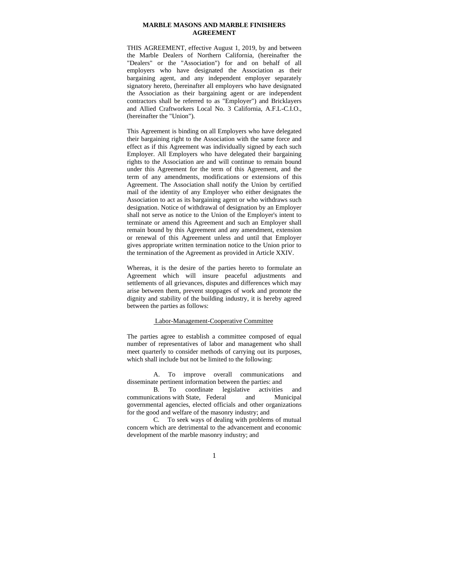#### **MARBLE MASONS AND MARBLE FINISHERS AGREEMENT**

THIS AGREEMENT, effective August 1, 2019, by and between the Marble Dealers of Northern California, (hereinafter the "Dealers" or the "Association") for and on behalf of all employers who have designated the Association as their bargaining agent, and any independent employer separately signatory hereto, (hereinafter all employers who have designated the Association as their bargaining agent or are independent contractors shall be referred to as "Employer") and Bricklayers and Allied Craftworkers Local No. 3 California, A.F.L-C.I.O., (hereinafter the "Union").

This Agreement is binding on all Employers who have delegated their bargaining right to the Association with the same force and effect as if this Agreement was individually signed by each such Employer. All Employers who have delegated their bargaining rights to the Association are and will continue to remain bound under this Agreement for the term of this Agreement, and the term of any amendments, modifications or extensions of this Agreement. The Association shall notify the Union by certified mail of the identity of any Employer who either designates the Association to act as its bargaining agent or who withdraws such designation. Notice of withdrawal of designation by an Employer shall not serve as notice to the Union of the Employer's intent to terminate or amend this Agreement and such an Employer shall remain bound by this Agreement and any amendment, extension or renewal of this Agreement unless and until that Employer gives appropriate written termination notice to the Union prior to the termination of the Agreement as provided in Article XXIV.

Whereas, it is the desire of the parties hereto to formulate an Agreement which will insure peaceful adjustments and settlements of all grievances, disputes and differences which may arise between them, prevent stoppages of work and promote the dignity and stability of the building industry, it is hereby agreed between the parties as follows:

#### Labor-Management-Cooperative Committee

The parties agree to establish a committee composed of equal number of representatives of labor and management who shall meet quarterly to consider methods of carrying out its purposes, which shall include but not be limited to the following:

A. To improve overall communications and disseminate pertinent information between the parties: and

B. To coordinate legislative activities and communications with State, Federal and Municipal governmental agencies, elected officials and other organizations for the good and welfare of the masonry industry; and

C. To seek ways of dealing with problems of mutual concern which are detrimental to the advancement and economic development of the marble masonry industry; and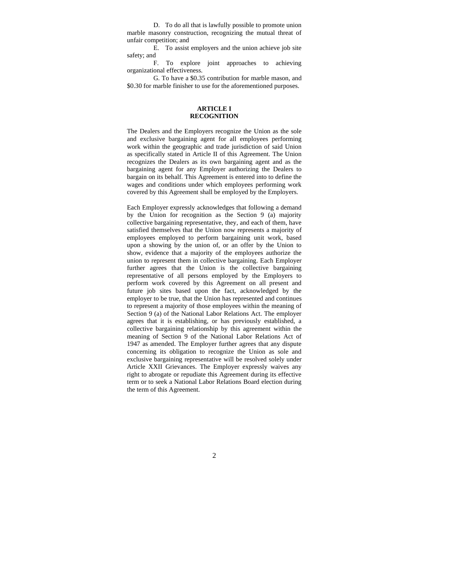D. To do all that is lawfully possible to promote union marble masonry construction, recognizing the mutual threat of unfair competition; and

E. To assist employers and the union achieve job site safety; and

F. To explore joint approaches to achieving organizational effectiveness.

G. To have a \$0.35 contribution for marble mason, and \$0.30 for marble finisher to use for the aforementioned purposes.

#### **ARTICLE I RECOGNITION**

The Dealers and the Employers recognize the Union as the sole and exclusive bargaining agent for all employees performing work within the geographic and trade jurisdiction of said Union as specifically stated in Article II of this Agreement. The Union recognizes the Dealers as its own bargaining agent and as the bargaining agent for any Employer authorizing the Dealers to bargain on its behalf. This Agreement is entered into to define the wages and conditions under which employees performing work covered by this Agreement shall be employed by the Employers.

Each Employer expressly acknowledges that following a demand by the Union for recognition as the Section 9 (a) majority collective bargaining representative, they, and each of them, have satisfied themselves that the Union now represents a majority of employees employed to perform bargaining unit work, based upon a showing by the union of, or an offer by the Union to show, evidence that a majority of the employees authorize the union to represent them in collective bargaining. Each Employer further agrees that the Union is the collective bargaining representative of all persons employed by the Employers to perform work covered by this Agreement on all present and future job sites based upon the fact, acknowledged by the employer to be true, that the Union has represented and continues to represent a majority of those employees within the meaning of Section 9 (a) of the National Labor Relations Act. The employer agrees that it is establishing, or has previously established, a collective bargaining relationship by this agreement within the meaning of Section 9 of the National Labor Relations Act of 1947 as amended. The Employer further agrees that any dispute concerning its obligation to recognize the Union as sole and exclusive bargaining representative will be resolved solely under Article XXII Grievances. The Employer expressly waives any right to abrogate or repudiate this Agreement during its effective term or to seek a National Labor Relations Board election during the term of this Agreement.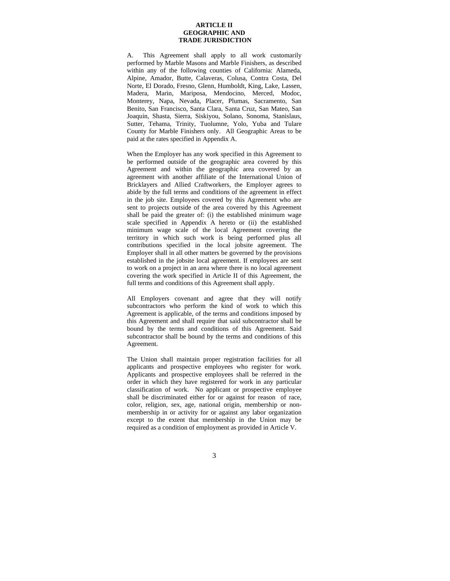#### **ARTICLE II GEOGRAPHIC AND TRADE JURISDICTION**

A. This Agreement shall apply to all work customarily performed by Marble Masons and Marble Finishers, as described within any of the following counties of California: Alameda, Alpine, Amador, Butte, Calaveras, Colusa, Contra Costa, Del Norte, El Dorado, Fresno, Glenn, Humboldt, King, Lake, Lassen, Madera, Marin, Mariposa, Mendocino, Merced, Modoc, Monterey, Napa, Nevada, Placer, Plumas, Sacramento, San Benito, San Francisco, Santa Clara, Santa Cruz, San Mateo, San Joaquin, Shasta, Sierra, Siskiyou, Solano, Sonoma, Stanislaus, Sutter, Tehama, Trinity, Tuolumne, Yolo, Yuba and Tulare County for Marble Finishers only. All Geographic Areas to be paid at the rates specified in Appendix A.

When the Employer has any work specified in this Agreement to be performed outside of the geographic area covered by this Agreement and within the geographic area covered by an agreement with another affiliate of the International Union of Bricklayers and Allied Craftworkers, the Employer agrees to abide by the full terms and conditions of the agreement in effect in the job site. Employees covered by this Agreement who are sent to projects outside of the area covered by this Agreement shall be paid the greater of: (i) the established minimum wage scale specified in Appendix A hereto or (ii) the established minimum wage scale of the local Agreement covering the territory in which such work is being performed plus all contributions specified in the local jobsite agreement. The Employer shall in all other matters be governed by the provisions established in the jobsite local agreement. If employees are sent to work on a project in an area where there is no local agreement covering the work specified in Article II of this Agreement, the full terms and conditions of this Agreement shall apply.

All Employers covenant and agree that they will notify subcontractors who perform the kind of work to which this Agreement is applicable, of the terms and conditions imposed by this Agreement and shall require that said subcontractor shall be bound by the terms and conditions of this Agreement. Said subcontractor shall be bound by the terms and conditions of this Agreement.

The Union shall maintain proper registration facilities for all applicants and prospective employees who register for work. Applicants and prospective employees shall be referred in the order in which they have registered for work in any particular classification of work. No applicant or prospective employee shall be discriminated either for or against for reason of race, color, religion, sex, age, national origin, membership or nonmembership in or activity for or against any labor organization except to the extent that membership in the Union may be required as a condition of employment as provided in Article V.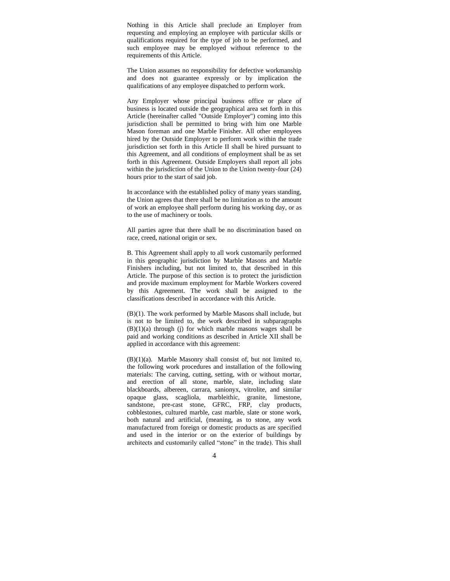Nothing in this Article shall preclude an Employer from requesting and employing an employee with particular skills or qualifications required for the type of job to be performed, and such employee may be employed without reference to the requirements of this Article.

The Union assumes no responsibility for defective workmanship and does not guarantee expressly or by implication the qualifications of any employee dispatched to perform work.

Any Employer whose principal business office or place of business is located outside the geographical area set forth in this Article (hereinafter called "Outside Employer") coming into this jurisdiction shall be permitted to bring with him one Marble Mason foreman and one Marble Finisher. All other employees hired by the Outside Employer to perform work within the trade jurisdiction set forth in this Article II shall be hired pursuant to this Agreement, and all conditions of employment shall be as set forth in this Agreement. Outside Employers shall report all jobs within the jurisdiction of the Union to the Union twenty-four (24) hours prior to the start of said job.

In accordance with the established policy of many years standing, the Union agrees that there shall be no limitation as to the amount of work an employee shall perform during his working day, or as to the use of machinery or tools.

All parties agree that there shall be no discrimination based on race, creed, national origin or sex.

B. This Agreement shall apply to all work customarily performed in this geographic jurisdiction by Marble Masons and Marble Finishers including, but not limited to, that described in this Article. The purpose of this section is to protect the jurisdiction and provide maximum employment for Marble Workers covered by this Agreement. The work shall be assigned to the classifications described in accordance with this Article.

(B)(1). The work performed by Marble Masons shall include, but is not to be limited to, the work described in subparagraphs  $(B)(1)(a)$  through (j) for which marble masons wages shall be paid and working conditions as described in Article XII shall be applied in accordance with this agreement:

(B)(1)(a). Marble Masonry shall consist of, but not limited to, the following work procedures and installation of the following materials: The carving, cutting, setting, with or without mortar, and erection of all stone, marble, slate, including slate blackboards, albereen, carrara, sanionyx, vitrolite, and similar opaque glass, scagliola, marbleithic, granite, limestone, sandstone, pre-cast stone, GFRC, FRP, clay products, cobblestones, cultured marble, cast marble, slate or stone work, both natural and artificial, (meaning, as to stone, any work manufactured from foreign or domestic products as are specified and used in the interior or on the exterior of buildings by architects and customarily called "stone" in the trade). This shall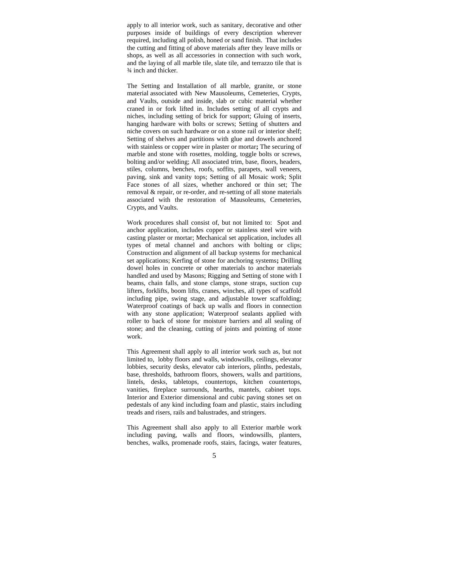apply to all interior work, such as sanitary, decorative and other purposes inside of buildings of every description wherever required, including all polish, honed or sand finish. That includes the cutting and fitting of above materials after they leave mills or shops, as well as all accessories in connection with such work, and the laying of all marble tile, slate tile, and terrazzo tile that is ¾ inch and thicker.

The Setting and Installation of all marble, granite, or stone material associated with New Mausoleums, Cemeteries, Crypts, and Vaults, outside and inside, slab or cubic material whether craned in or fork lifted in. Includes setting of all crypts and niches, including setting of brick for support; Gluing of inserts, hanging hardware with bolts or screws; Setting of shutters and niche covers on such hardware or on a stone rail or interior shelf; Setting of shelves and partitions with glue and dowels anchored with stainless or copper wire in plaster or mortar**;** The securing of marble and stone with rosettes, molding, toggle bolts or screws, bolting and/or welding; All associated trim, base, floors, headers, stiles, columns, benches, roofs, soffits, parapets, wall veneers, paving, sink and vanity tops; Setting of all Mosaic work; Split Face stones of all sizes, whether anchored or thin set; The removal & repair, or re-order, and re-setting of all stone materials associated with the restoration of Mausoleums, Cemeteries, Crypts, and Vaults.

Work procedures shall consist of, but not limited to: Spot and anchor application, includes copper or stainless steel wire with casting plaster or mortar; Mechanical set application, includes all types of metal channel and anchors with bolting or clips; Construction and alignment of all backup systems for mechanical set applications; Kerfing of stone for anchoring systems**;** Drilling dowel holes in concrete or other materials to anchor materials handled and used by Masons; Rigging and Setting of stone with I beams, chain falls, and stone clamps, stone straps, suction cup lifters, forklifts, boom lifts, cranes, winches, all types of scaffold including pipe, swing stage, and adjustable tower scaffolding; Waterproof coatings of back up walls and floors in connection with any stone application; Waterproof sealants applied with roller to back of stone for moisture barriers and all sealing of stone; and the cleaning, cutting of joints and pointing of stone work.

This Agreement shall apply to all interior work such as, but not limited to, lobby floors and walls, windowsills, ceilings, elevator lobbies, security desks, elevator cab interiors, plinths, pedestals, base, thresholds, bathroom floors, showers, walls and partitions, lintels, desks, tabletops, countertops, kitchen countertops, vanities, fireplace surrounds, hearths, mantels, cabinet tops. Interior and Exterior dimensional and cubic paving stones set on pedestals of any kind including foam and plastic, stairs including treads and risers, rails and balustrades, and stringers.

This Agreement shall also apply to all Exterior marble work including paving, walls and floors, windowsills, planters, benches, walks, promenade roofs, stairs, facings, water features,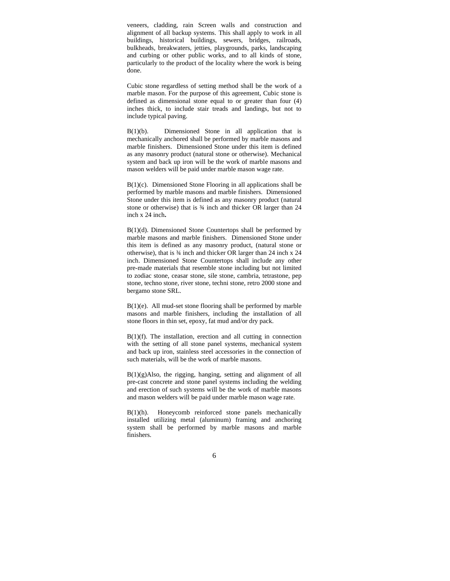veneers, cladding, rain Screen walls and construction and alignment of all backup systems. This shall apply to work in all buildings, historical buildings, sewers, bridges, railroads, bulkheads, breakwaters, jetties, playgrounds, parks, landscaping and curbing or other public works, and to all kinds of stone, particularly to the product of the locality where the work is being done.

Cubic stone regardless of setting method shall be the work of a marble mason. For the purpose of this agreement, Cubic stone is defined as dimensional stone equal to or greater than four (4) inches thick, to include stair treads and landings, but not to include typical paving.

B(1)(b). Dimensioned Stone in all application that is mechanically anchored shall be performed by marble masons and marble finishers. Dimensioned Stone under this item is defined as any masonry product (natural stone or otherwise). Mechanical system and back up iron will be the work of marble masons and mason welders will be paid under marble mason wage rate.

 $B(1)(c)$ . Dimensioned Stone Flooring in all applications shall be performed by marble masons and marble finishers. Dimensioned Stone under this item is defined as any masonry product (natural stone or otherwise) that is  $\frac{3}{4}$  inch and thicker OR larger than 24 inch x 24 inch**.**

B(1)(d). Dimensioned Stone Countertops shall be performed by marble masons and marble finishers. Dimensioned Stone under this item is defined as any masonry product, (natural stone or otherwise), that is ¾ inch and thicker OR larger than 24 inch x 24 inch. Dimensioned Stone Countertops shall include any other pre-made materials that resemble stone including but not limited to zodiac stone, ceasar stone, sile stone, cambria, tetrastone, pep stone, techno stone, river stone, techni stone, retro 2000 stone and bergamo stone SRL.

 $B(1)(e)$ . All mud-set stone flooring shall be performed by marble masons and marble finishers, including the installation of all stone floors in thin set, epoxy, fat mud and/or dry pack.

B(1)(f). The installation, erection and all cutting in connection with the setting of all stone panel systems, mechanical system and back up iron, stainless steel accessories in the connection of such materials, will be the work of marble masons.

 $B(1)(g)$ Also, the rigging, hanging, setting and alignment of all pre-cast concrete and stone panel systems including the welding and erection of such systems will be the work of marble masons and mason welders will be paid under marble mason wage rate.

B(1)(h). Honeycomb reinforced stone panels mechanically installed utilizing metal (aluminum) framing and anchoring system shall be performed by marble masons and marble finishers.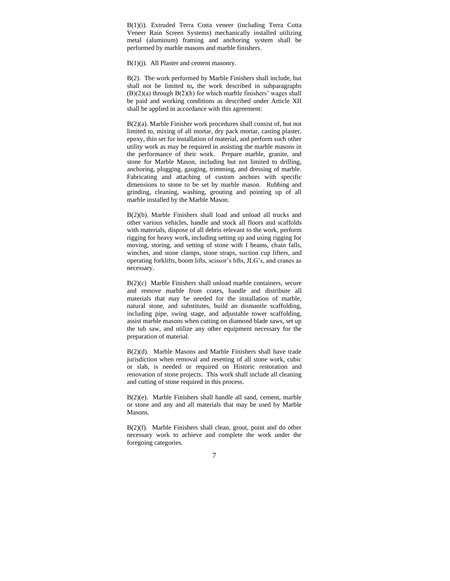B(1)(i). Extruded Terra Cotta veneer (including Terra Cotta Veneer Rain Screen Systems) mechanically installed utilizing metal (aluminum) framing and anchoring system shall be performed by marble masons and marble finishers.

B(1)(j). All Plaster and cement masonry.

B(2). The work performed by Marble Finishers shall include, but shall not be limited to**,** the work described in subparagraphs (B)(2)(a) through B(2)(h) for which marble finishers' wages shall be paid and working conditions as described under Article XII shall be applied in accordance with this agreement:

B(2)(a). Marble Finisher work procedures shall consist of, but not limited to, mixing of all mortar, dry pack mortar, casting plaster, epoxy, thin set for installation of material, and perform such other utility work as may be required in assisting the marble masons in the performance of their work. Prepare marble, granite, and stone for Marble Mason, including but not limited to drilling, anchoring, plugging, gauging, trimming, and dressing of marble. Fabricating and attaching of custom anchors with specific dimensions to stone to be set by marble mason. Rubbing and grinding, cleaning, washing, grouting and pointing up of all marble installed by the Marble Mason.

B(2)(b). Marble Finishers shall load and unload all trucks and other various vehicles, handle and stock all floors and scaffolds with materials, dispose of all debris relevant to the work, perform rigging for heavy work, including setting up and using rigging for moving, storing, and setting of stone with I beams, chain falls, winches, and stone clamps, stone straps, suction cup lifters, and operating forklifts, boom lifts, scissor's lifts, JLG's, and cranes as necessary.

B(2)(c) Marble Finishers shall unload marble containers, secure and remove marble from crates, handle and distribute all materials that may be needed for the installation of marble, natural stone, and substitutes, build an dismantle scaffolding, including pipe, swing stage, and adjustable tower scaffolding, assist marble masons when cutting on diamond blade saws, set up the tub saw, and utilize any other equipment necessary for the preparation of material.

B(2)(d). Marble Masons and Marble Finishers shall have trade jurisdiction when removal and resetting of all stone work, cubic or slab, is needed or required on Historic restoration and renovation of stone projects. This work shall include all cleaning and cutting of stone required in this process.

B(2)(e). Marble Finishers shall handle all sand, cement, marble or stone and any and all materials that may be used by Marble Masons.

B(2)(f). Marble Finishers shall clean, grout, point and do other necessary work to achieve and complete the work under the foregoing categories.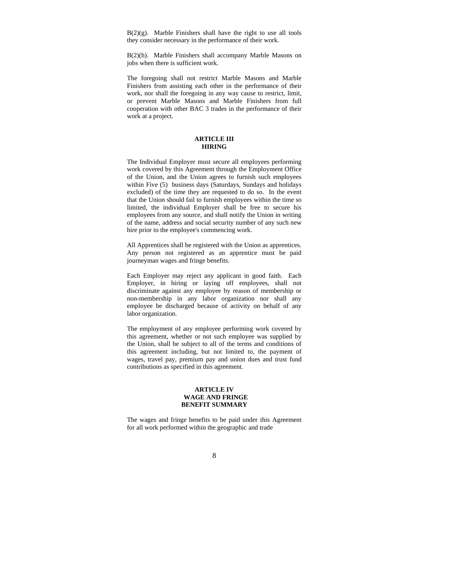$B(2)(g)$ . Marble Finishers shall have the right to use all tools they consider necessary in the performance of their work.

B(2)(h). Marble Finishers shall accompany Marble Masons on jobs when there is sufficient work.

The foregoing shall not restrict Marble Masons and Marble Finishers from assisting each other in the performance of their work, nor shall the foregoing in any way cause to restrict, limit, or prevent Marble Masons and Marble Finishers from full cooperation with other BAC 3 trades in the performance of their work at a project.

#### **ARTICLE III HIRING**

The Individual Employer must secure all employees performing work covered by this Agreement through the Employment Office of the Union, and the Union agrees to furnish such employees within Five (5) business days (Saturdays, Sundays and holidays excluded) of the time they are requested to do so. In the event that the Union should fail to furnish employees within the time so limited, the individual Employer shall be free to secure his employees from any source, and shall notify the Union in writing of the name, address and social security number of any such new hire prior to the employee's commencing work.

All Apprentices shall be registered with the Union as apprentices. Any person not registered as an apprentice must be paid journeyman wages and fringe benefits.

Each Employer may reject any applicant in good faith. Each Employer, in hiring or laying off employees, shall not discriminate against any employee by reason of membership or non-membership in any labor organization nor shall any employee be discharged because of activity on behalf of any labor organization.

The employment of any employee performing work covered by this agreement, whether or not such employee was supplied by the Union, shall be subject to all of the terms and conditions of this agreement including, but not limited to, the payment of wages, travel pay, premium pay and union dues and trust fund contributions as specified in this agreement.

#### **ARTICLE IV WAGE AND FRINGE BENEFIT SUMMARY**

The wages and fringe benefits to be paid under this Agreement for all work performed within the geographic and trade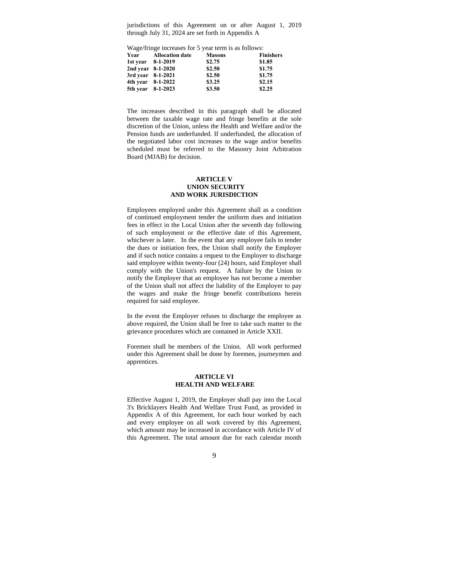jurisdictions of this Agreement on or after August 1, 2019 through July 31, 2024 are set forth in Appendix A

Wage/fringe increases for 5 year term is as follows:

|                   | Year Allocation date | <b>Masons</b> | <b>Finishers</b> |
|-------------------|----------------------|---------------|------------------|
|                   | 1st year 8-1-2019    | \$2.75        | \$1.85           |
|                   | 2nd year 8-1-2020    | \$2.50        | \$1.75           |
| 3rd year 8-1-2021 |                      | \$2.50        | \$1.75           |
|                   | 4th year 8-1-2022    | \$3.25        | \$2.15           |
| 5th year 8-1-2023 |                      | \$3.50        | \$2.25           |

The increases described in this paragraph shall be allocated between the taxable wage rate and fringe benefits at the sole discretion of the Union, unless the Health and Welfare and/or the Pension funds are underfunded. If underfunded, the allocation of the negotiated labor cost increases to the wage and/or benefits scheduled must be referred to the Masonry Joint Arbitration Board (MJAB) for decision.

#### **ARTICLE V UNION SECURITY AND WORK JURISDICTION**

Employees employed under this Agreement shall as a condition of continued employment tender the uniform dues and initiation fees in effect in the Local Union after the seventh day following of such employment or the effective date of this Agreement, whichever is later. In the event that any employee fails to tender the dues or initiation fees, the Union shall notify the Employer and if such notice contains a request to the Employer to discharge said employee within twenty-four (24) hours, said Employer shall comply with the Union's request. A failure by the Union to notify the Employer that an employee has not become a member of the Union shall not affect the liability of the Employer to pay the wages and make the fringe benefit contributions herein required for said employee.

In the event the Employer refuses to discharge the employee as above required, the Union shall be free to take such matter to the grievance procedures which are contained in Article XXII.

Foremen shall be members of the Union. All work performed under this Agreement shall be done by foremen, journeymen and apprentices.

#### **ARTICLE VI HEALTH AND WELFARE**

Effective August 1, 2019, the Employer shall pay into the Local 3's Bricklayers Health And Welfare Trust Fund, as provided in Appendix A of this Agreement, for each hour worked by each and every employee on all work covered by this Agreement, which amount may be increased in accordance with Article IV of this Agreement. The total amount due for each calendar month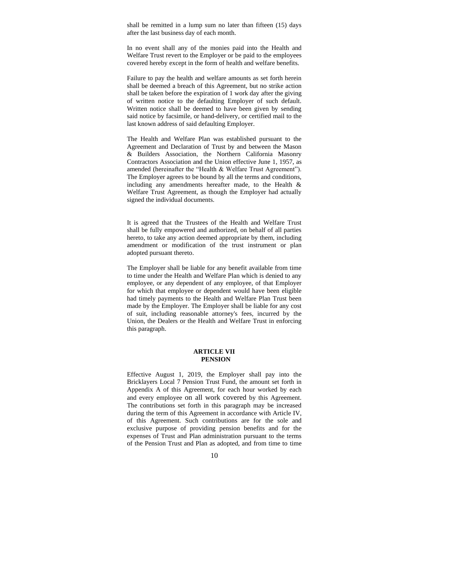shall be remitted in a lump sum no later than fifteen (15) days after the last business day of each month.

In no event shall any of the monies paid into the Health and Welfare Trust revert to the Employer or be paid to the employees covered hereby except in the form of health and welfare benefits.

Failure to pay the health and welfare amounts as set forth herein shall be deemed a breach of this Agreement, but no strike action shall be taken before the expiration of 1 work day after the giving of written notice to the defaulting Employer of such default. Written notice shall be deemed to have been given by sending said notice by facsimile, or hand-delivery, or certified mail to the last known address of said defaulting Employer.

The Health and Welfare Plan was established pursuant to the Agreement and Declaration of Trust by and between the Mason & Builders Association, the Northern California Masonry Contractors Association and the Union effective June 1, 1957, as amended (hereinafter the "Health & Welfare Trust Agreement"). The Employer agrees to be bound by all the terms and conditions, including any amendments hereafter made, to the Health & Welfare Trust Agreement, as though the Employer had actually signed the individual documents.

It is agreed that the Trustees of the Health and Welfare Trust shall be fully empowered and authorized, on behalf of all parties hereto, to take any action deemed appropriate by them, including amendment or modification of the trust instrument or plan adopted pursuant thereto.

The Employer shall be liable for any benefit available from time to time under the Health and Welfare Plan which is denied to any employee, or any dependent of any employee, of that Employer for which that employee or dependent would have been eligible had timely payments to the Health and Welfare Plan Trust been made by the Employer. The Employer shall be liable for any cost of suit, including reasonable attorney's fees, incurred by the Union, the Dealers or the Health and Welfare Trust in enforcing this paragraph.

#### **ARTICLE VII PENSION**

Effective August 1, 2019, the Employer shall pay into the Bricklayers Local 7 Pension Trust Fund, the amount set forth in Appendix A of this Agreement, for each hour worked by each and every employee on all work covered by this Agreement. The contributions set forth in this paragraph may be increased during the term of this Agreement in accordance with Article IV, of this Agreement. Such contributions are for the sole and exclusive purpose of providing pension benefits and for the expenses of Trust and Plan administration pursuant to the terms of the Pension Trust and Plan as adopted, and from time to time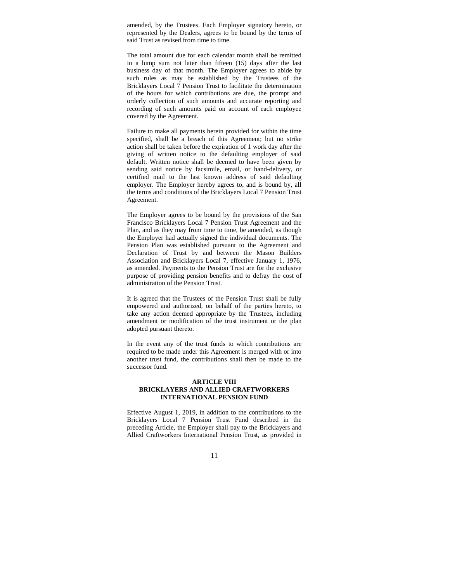amended, by the Trustees. Each Employer signatory hereto, or represented by the Dealers, agrees to be bound by the terms of said Trust as revised from time to time.

The total amount due for each calendar month shall be remitted in a lump sum not later than fifteen (15) days after the last business day of that month. The Employer agrees to abide by such rules as may be established by the Trustees of the Bricklayers Local 7 Pension Trust to facilitate the determination of the hours for which contributions are due, the prompt and orderly collection of such amounts and accurate reporting and recording of such amounts paid on account of each employee covered by the Agreement.

Failure to make all payments herein provided for within the time specified, shall be a breach of this Agreement; but no strike action shall be taken before the expiration of 1 work day after the giving of written notice to the defaulting employer of said default. Written notice shall be deemed to have been given by sending said notice by facsimile, email, or hand-delivery, or certified mail to the last known address of said defaulting employer. The Employer hereby agrees to, and is bound by, all the terms and conditions of the Bricklayers Local 7 Pension Trust Agreement.

The Employer agrees to be bound by the provisions of the San Francisco Bricklayers Local 7 Pension Trust Agreement and the Plan, and as they may from time to time, be amended, as though the Employer had actually signed the individual documents. The Pension Plan was established pursuant to the Agreement and Declaration of Trust by and between the Mason Builders Association and Bricklayers Local 7, effective January 1, 1976, as amended. Payments to the Pension Trust are for the exclusive purpose of providing pension benefits and to defray the cost of administration of the Pension Trust.

It is agreed that the Trustees of the Pension Trust shall be fully empowered and authorized, on behalf of the parties hereto, to take any action deemed appropriate by the Trustees, including amendment or modification of the trust instrument or the plan adopted pursuant thereto.

In the event any of the trust funds to which contributions are required to be made under this Agreement is merged with or into another trust fund, the contributions shall then be made to the successor fund.

#### **ARTICLE VIII BRICKLAYERS AND ALLIED CRAFTWORKERS INTERNATIONAL PENSION FUND**

Effective August 1, 2019, in addition to the contributions to the Bricklayers Local 7 Pension Trust Fund described in the preceding Article, the Employer shall pay to the Bricklayers and Allied Craftworkers International Pension Trust, as provided in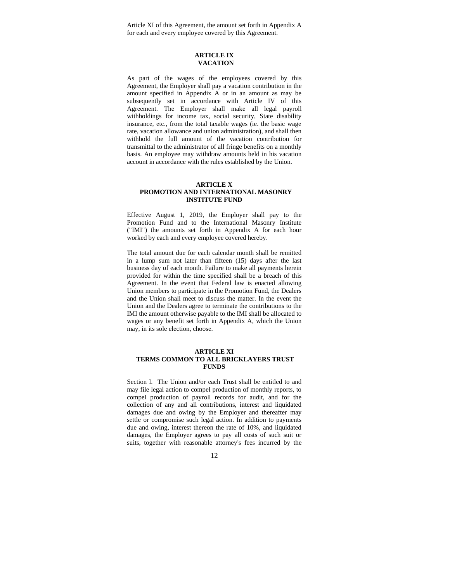Article XI of this Agreement, the amount set forth in Appendix A for each and every employee covered by this Agreement.

#### **ARTICLE IX VACATION**

As part of the wages of the employees covered by this Agreement, the Employer shall pay a vacation contribution in the amount specified in Appendix A or in an amount as may be subsequently set in accordance with Article IV of this Agreement. The Employer shall make all legal payroll withholdings for income tax, social security, State disability insurance, etc., from the total taxable wages (ie. the basic wage rate, vacation allowance and union administration), and shall then withhold the full amount of the vacation contribution for transmittal to the administrator of all fringe benefits on a monthly basis. An employee may withdraw amounts held in his vacation account in accordance with the rules established by the Union.

#### **ARTICLE X PROMOTION AND INTERNATIONAL MASONRY INSTITUTE FUND**

Effective August 1, 2019, the Employer shall pay to the Promotion Fund and to the International Masonry Institute ("IMI") the amounts set forth in Appendix A for each hour worked by each and every employee covered hereby.

The total amount due for each calendar month shall be remitted in a lump sum not later than fifteen (15) days after the last business day of each month. Failure to make all payments herein provided for within the time specified shall be a breach of this Agreement. In the event that Federal law is enacted allowing Union members to participate in the Promotion Fund, the Dealers and the Union shall meet to discuss the matter. In the event the Union and the Dealers agree to terminate the contributions to the IMI the amount otherwise payable to the IMI shall be allocated to wages or any benefit set forth in Appendix A, which the Union may, in its sole election, choose.

#### **ARTICLE XI TERMS COMMON TO ALL BRICKLAYERS TRUST FUNDS**

Section l. The Union and/or each Trust shall be entitled to and may file legal action to compel production of monthly reports, to compel production of payroll records for audit, and for the collection of any and all contributions, interest and liquidated damages due and owing by the Employer and thereafter may settle or compromise such legal action. In addition to payments due and owing, interest thereon the rate of 10%, and liquidated damages, the Employer agrees to pay all costs of such suit or suits, together with reasonable attorney's fees incurred by the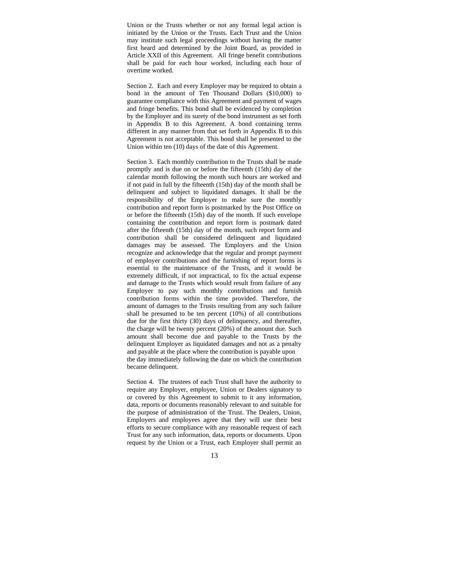Union or the Trusts whether or not any formal legal action is initiated by the Union or the Trusts. Each Trust and the Union may institute such legal proceedings without having the matter first heard and determined by the Joint Board, as provided in Article XXII of this Agreement. All fringe benefit contributions shall be paid for each hour worked, including each hour of overtime worked.

Section 2. Each and every Employer may be required to obtain a bond in the amount of Ten Thousand Dollars (\$10,000) to guarantee compliance with this Agreement and payment of wages and fringe benefits. This bond shall be evidenced by completion by the Employer and its surety of the bond instrument as set forth in Appendix B to this Agreement. A bond containing terms different in any manner from that set forth in Appendix B to this Agreement is not acceptable. This bond shall be presented to the Union within ten (10) days of the date of this Agreement.

Section 3. Each monthly contribution to the Trusts shall be made promptly and is due on or before the fifteenth (15th) day of the calendar month following the month such hours are worked and if not paid in full by the fifteenth (15th) day of the month shall be delinquent and subject to liquidated damages. It shall be the responsibility of the Employer to make sure the monthly contribution and report form is postmarked by the Post Office on or before the fifteenth (15th) day of the month. If such envelope containing the contribution and report form is postmark dated after the fifteenth (15th) day of the month, such report form and contribution shall be considered delinquent and liquidated damages may be assessed. The Employers and the Union recognize and acknowledge that the regular and prompt payment of employer contributions and the furnishing of report forms is essential to the maintenance of the Trusts, and it would be extremely difficult, if not impractical, to fix the actual expense and damage to the Trusts which would result from failure of any Employer to pay such monthly contributions and furnish contribution forms within the time provided. Therefore, the amount of damages to the Trusts resulting from any such failure shall be presumed to be ten percent (10%) of all contributions due for the first thirty (30) days of delinquency, and thereafter, the charge will be twenty percent (20%) of the amount due. Such amount shall become due and payable to the Trusts by the delinquent Employer as liquidated damages and not as a penalty and payable at the place where the contribution is payable upon the day immediately following the date on which the contribution became delinquent.

Section 4. The trustees of each Trust shall have the authority to require any Employer, employee, Union or Dealers signatory to or covered by this Agreement to submit to it any information, data, reports or documents reasonably relevant to and suitable for the purpose of administration of the Trust. The Dealers, Union, Employers and employees agree that they will use their best efforts to secure compliance with any reasonable request of each Trust for any such information, data, reports or documents. Upon request by the Union or a Trust, each Employer shall permit an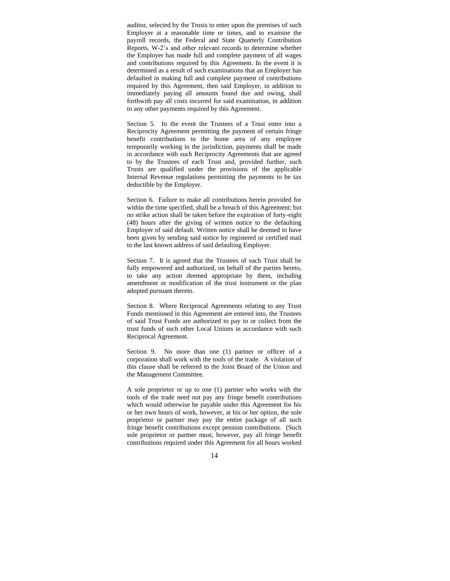auditor, selected by the Trusts to enter upon the premises of such Employer at a reasonable time or times, and to examine the payroll records, the Federal and State Quarterly Contribution Reports, W-2's and other relevant records to determine whether the Employer has made full and complete payment of all wages and contributions required by this Agreement. In the event it is determined as a result of such examinations that an Employer has defaulted in making full and complete payment of contributions required by this Agreement, then said Employer, in addition to immediately paying all amounts found due and owing, shall forthwith pay all costs incurred for said examination, in addition to any other payments required by this Agreement.

Section 5. In the event the Trustees of a Trust enter into a Reciprocity Agreement permitting the payment of certain fringe benefit contributions to the home area of any employee temporarily working in the jurisdiction, payments shall be made in accordance with such Reciprocity Agreements that are agreed to by the Trustees of each Trust and, provided further, such Trusts are qualified under the provisions of the applicable Internal Revenue regulations permitting the payments to be tax deductible by the Employer.

Section 6. Failure to make all contributions herein provided for within the time specified, shall be a breach of this Agreement; but no strike action shall be taken before the expiration of forty-eight (48) hours after the giving of written notice to the defaulting Employer of said default. Written notice shall be deemed to have been given by sending said notice by registered or certified mail to the last known address of said defaulting Employer.

Section 7. It is agreed that the Trustees of each Trust shall be fully empowered and authorized, on behalf of the parties hereto, to take any action deemed appropriate by them, including amendment or modification of the trust instrument or the plan adopted pursuant thereto.

Section 8. Where Reciprocal Agreements relating to any Trust Funds mentioned in this Agreement are entered into, the Trustees of said Trust Funds are authorized to pay to or collect from the trust funds of such other Local Unions in accordance with such Reciprocal Agreement.

Section 9. No more than one (1) partner or officer of a corporation shall work with the tools of the trade. A violation of this clause shall be referred to the Joint Board of the Union and the Management Committee.

A sole proprietor or up to one (1) partner who works with the tools of the trade need not pay any fringe benefit contributions which would otherwise be payable under this Agreement for his or her own hours of work, however, at his or her option, the sole proprietor or partner may pay the entire package of all such fringe benefit contributions except pension contributions. (Such sole proprietor or partner must, however, pay all fringe benefit contributions required under this Agreement for all hours worked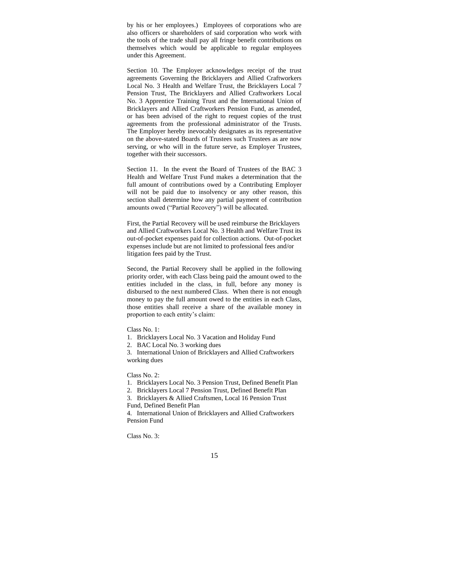by his or her employees.) Employees of corporations who are also officers or shareholders of said corporation who work with the tools of the trade shall pay all fringe benefit contributions on themselves which would be applicable to regular employees under this Agreement.

Section 10. The Employer acknowledges receipt of the trust agreements Governing the Bricklayers and Allied Craftworkers Local No. 3 Health and Welfare Trust, the Bricklayers Local 7 Pension Trust, The Bricklayers and Allied Craftworkers Local No. 3 Apprentice Training Trust and the International Union of Bricklayers and Allied Craftworkers Pension Fund, as amended, or has been advised of the right to request copies of the trust agreements from the professional administrator of the Trusts. The Employer hereby inevocably designates as its representative on the above-stated Boards of Trustees such Trustees as are now serving, or who will in the future serve, as Employer Trustees, together with their successors.

Section 11. In the event the Board of Trustees of the BAC 3 Health and Welfare Trust Fund makes a determination that the full amount of contributions owed by a Contributing Employer will not be paid due to insolvency or any other reason, this section shall determine how any partial payment of contribution amounts owed ("Partial Recovery") will be allocated.

First, the Partial Recovery will be used reimburse the Bricklayers and Allied Craftworkers Local No. 3 Health and Welfare Trust its out-of-pocket expenses paid for collection actions. Out-of-pocket expenses include but are not limited to professional fees and/or litigation fees paid by the Trust.

Second, the Partial Recovery shall be applied in the following priority order, with each Class being paid the amount owed to the entities included in the class, in full, before any money is disbursed to the next numbered Class. When there is not enough money to pay the full amount owed to the entities in each Class, those entities shall receive a share of the available money in proportion to each entity's claim:

Class No. 1:

1. Bricklayers Local No. 3 Vacation and Holiday Fund

2. BAC Local No. 3 working dues

3. International Union of Bricklayers and Allied Craftworkers working dues

Class No. 2:

1. Bricklayers Local No. 3 Pension Trust, Defined Benefit Plan

2. Bricklayers Local 7 Pension Trust, Defined Benefit Plan

3. Bricklayers & Allied Craftsmen, Local 16 Pension Trust Fund, Defined Benefit Plan

4. International Union of Bricklayers and Allied Craftworkers Pension Fund

Class No. 3: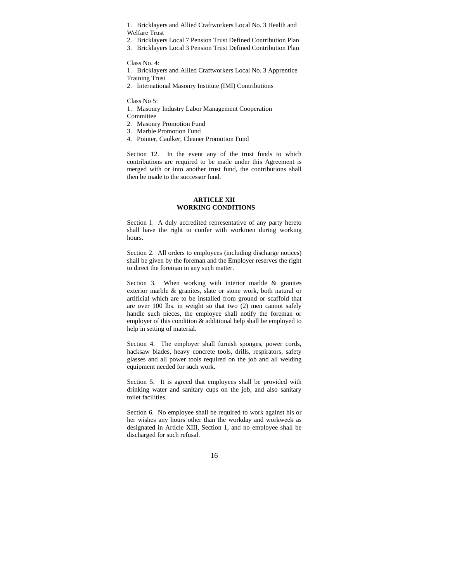1. Bricklayers and Allied Craftworkers Local No. 3 Health and Welfare Trust

2. Bricklayers Local 7 Pension Trust Defined Contribution Plan

3. Bricklayers Local 3 Pension Trust Defined Contribution Plan

Class No. 4:

1. Bricklayers and Allied Craftworkers Local No. 3 Apprentice Training Trust

2. International Masonry Institute (IMI) Contributions

Class No 5:

1. Masonry Industry Labor Management Cooperation **Committee** 

- 
- 2. Masonry Promotion Fund
- 3. Marble Promotion Fund
- 4. Pointer, Caulker, Cleaner Promotion Fund

Section 12. In the event any of the trust funds to which contributions are required to be made under this Agreement is merged with or into another trust fund, the contributions shall then be made to the successor fund.

#### **ARTICLE XII WORKING CONDITIONS**

Section l. A duly accredited representative of any party hereto shall have the right to confer with workmen during working hours.

Section 2. All orders to employees (including discharge notices) shall be given by the foreman and the Employer reserves the right to direct the foreman in any such matter.

Section 3. When working with interior marble & granites exterior marble & granites, slate or stone work, both natural or artificial which are to be installed from ground or scaffold that are over 100 lbs. in weight so that two (2) men cannot safely handle such pieces, the employee shall notify the foreman or employer of this condition & additional help shall be employed to help in setting of material.

Section 4. The employer shall furnish sponges, power cords, hacksaw blades, heavy concrete tools, drills, respirators, safety glasses and all power tools required on the job and all welding equipment needed for such work.

Section 5. It is agreed that employees shall be provided with drinking water and sanitary cups on the job, and also sanitary toilet facilities.

Section 6. No employee shall be required to work against his or her wishes any hours other than the workday and workweek as designated in Article XIII, Section 1, and no employee shall be discharged for such refusal.

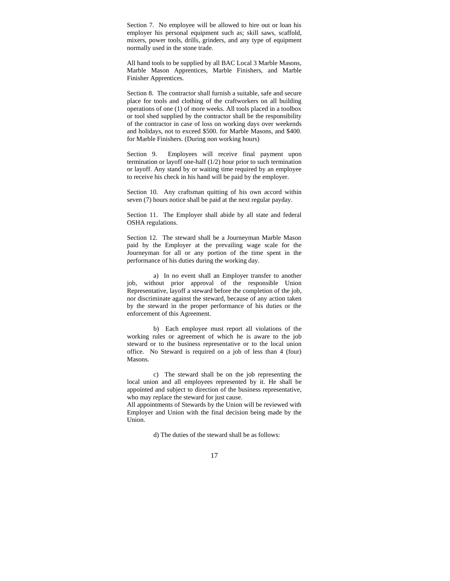Section 7. No employee will be allowed to hire out or loan his employer his personal equipment such as; skill saws, scaffold, mixers, power tools, drills, grinders, and any type of equipment normally used in the stone trade.

All hand tools to be supplied by all BAC Local 3 Marble Masons, Marble Mason Apprentices, Marble Finishers, and Marble Finisher Apprentices.

Section 8. The contractor shall furnish a suitable, safe and secure place for tools and clothing of the craftworkers on all building operations of one (1) of more weeks. All tools placed in a toolbox or tool shed supplied by the contractor shall be the responsibility of the contractor in case of loss on working days over weekends and holidays, not to exceed \$500. for Marble Masons, and \$400. for Marble Finishers. (During non working hours)

Section 9. Employees will receive final payment upon termination or layoff one-half (1/2) hour prior to such termination or layoff. Any stand by or waiting time required by an employee to receive his check in his hand will be paid by the employer.

Section 10. Any craftsman quitting of his own accord within seven (7) hours notice shall be paid at the next regular payday.

Section 11. The Employer shall abide by all state and federal OSHA regulations.

Section 12. The steward shall be a Journeyman Marble Mason paid by the Employer at the prevailing wage scale for the Journeyman for all or any portion of the time spent in the performance of his duties during the working day.

a) In no event shall an Employer transfer to another job, without prior approval of the responsible Union Representative, layoff a steward before the completion of the job, nor discriminate against the steward, because of any action taken by the steward in the proper performance of his duties or the enforcement of this Agreement.

b) Each employee must report all violations of the working rules or agreement of which he is aware to the job steward or to the business representative or to the local union office. No Steward is required on a job of less than 4 (four) Masons.

c) The steward shall be on the job representing the local union and all employees represented by it. He shall be appointed and subject to direction of the business representative, who may replace the steward for just cause.

All appointments of Stewards by the Union will be reviewed with Employer and Union with the final decision being made by the Union.

d) The duties of the steward shall be as follows: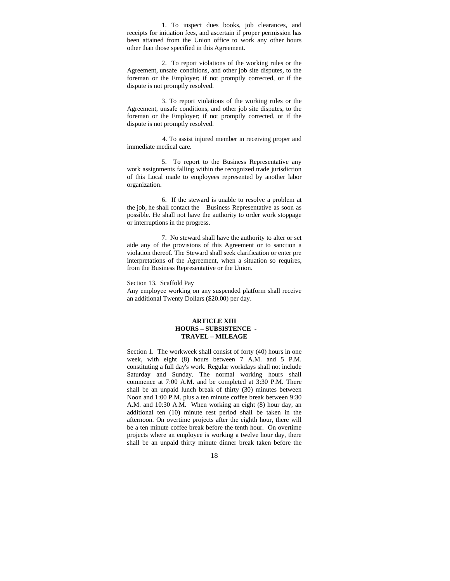1. To inspect dues books, job clearances, and receipts for initiation fees, and ascertain if proper permission has been attained from the Union office to work any other hours other than those specified in this Agreement.

 2. To report violations of the working rules or the Agreement, unsafe conditions, and other job site disputes, to the foreman or the Employer; if not promptly corrected, or if the dispute is not promptly resolved.

 3. To report violations of the working rules or the Agreement, unsafe conditions, and other job site disputes, to the foreman or the Employer; if not promptly corrected, or if the dispute is not promptly resolved.

 4. To assist injured member in receiving proper and immediate medical care.

 5. To report to the Business Representative any work assignments falling within the recognized trade jurisdiction of this Local made to employees represented by another labor organization.

 6. If the steward is unable to resolve a problem at the job, he shall contact the Business Representative as soon as possible. He shall not have the authority to order work stoppage or interruptions in the progress.

 7. No steward shall have the authority to alter or set aide any of the provisions of this Agreement or to sanction a violation thereof. The Steward shall seek clarification or enter pre interpretations of the Agreement, when a situation so requires, from the Business Representative or the Union.

#### Section 13. Scaffold Pay

Any employee working on any suspended platform shall receive an additional Twenty Dollars (\$20.00) per day.

#### **ARTICLE XIII HOURS – SUBSISTENCE - TRAVEL – MILEAGE**

Section 1. The workweek shall consist of forty (40) hours in one week, with eight (8) hours between 7 A.M. and 5 P.M. constituting a full day's work. Regular workdays shall not include Saturday and Sunday. The normal working hours shall commence at 7:00 A.M. and be completed at 3:30 P.M. There shall be an unpaid lunch break of thirty (30) minutes between Noon and 1:00 P.M. plus a ten minute coffee break between 9:30 A.M. and 10:30 A.M. When working an eight (8) hour day, an additional ten (10) minute rest period shall be taken in the afternoon. On overtime projects after the eighth hour, there will be a ten minute coffee break before the tenth hour. On overtime projects where an employee is working a twelve hour day, there shall be an unpaid thirty minute dinner break taken before the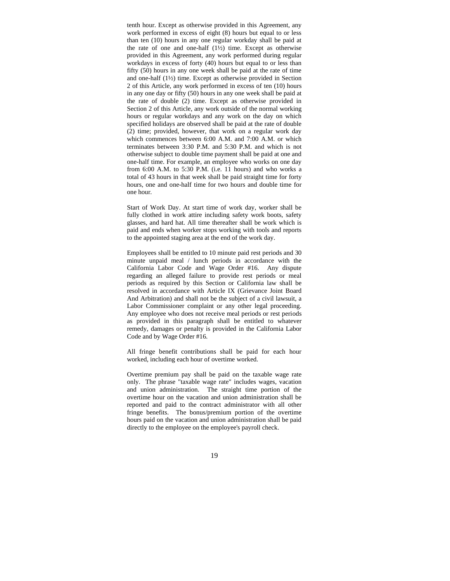tenth hour. Except as otherwise provided in this Agreement, any work performed in excess of eight (8) hours but equal to or less than ten (10) hours in any one regular workday shall be paid at the rate of one and one-half  $(1\frac{1}{2})$  time. Except as otherwise provided in this Agreement, any work performed during regular workdays in excess of forty (40) hours but equal to or less than fifty (50) hours in any one week shall be paid at the rate of time and one-half (1½) time. Except as otherwise provided in Section 2 of this Article, any work performed in excess of ten (10) hours in any one day or fifty (50) hours in any one week shall be paid at the rate of double (2) time. Except as otherwise provided in Section 2 of this Article, any work outside of the normal working hours or regular workdays and any work on the day on which specified holidays are observed shall be paid at the rate of double (2) time; provided, however, that work on a regular work day which commences between 6:00 A.M. and 7:00 A.M. or which terminates between 3:30 P.M. and 5:30 P.M. and which is not otherwise subject to double time payment shall be paid at one and one-half time. For example, an employee who works on one day from 6:00 A.M. to 5:30 P.M. (i.e. 11 hours) and who works a total of 43 hours in that week shall be paid straight time for forty hours, one and one-half time for two hours and double time for one hour.

Start of Work Day. At start time of work day, worker shall be fully clothed in work attire including safety work boots, safety glasses, and hard hat. All time thereafter shall be work which is paid and ends when worker stops working with tools and reports to the appointed staging area at the end of the work day.

Employees shall be entitled to 10 minute paid rest periods and 30 minute unpaid meal / lunch periods in accordance with the California Labor Code and Wage Order #16. Any dispute regarding an alleged failure to provide rest periods or meal periods as required by this Section or California law shall be resolved in accordance with Article IX (Grievance Joint Board And Arbitration) and shall not be the subject of a civil lawsuit, a Labor Commissioner complaint or any other legal proceeding. Any employee who does not receive meal periods or rest periods as provided in this paragraph shall be entitled to whatever remedy, damages or penalty is provided in the California Labor Code and by Wage Order #16.

All fringe benefit contributions shall be paid for each hour worked, including each hour of overtime worked.

Overtime premium pay shall be paid on the taxable wage rate only. The phrase "taxable wage rate" includes wages, vacation and union administration. The straight time portion of the overtime hour on the vacation and union administration shall be reported and paid to the contract administrator with all other fringe benefits. The bonus/premium portion of the overtime hours paid on the vacation and union administration shall be paid directly to the employee on the employee's payroll check.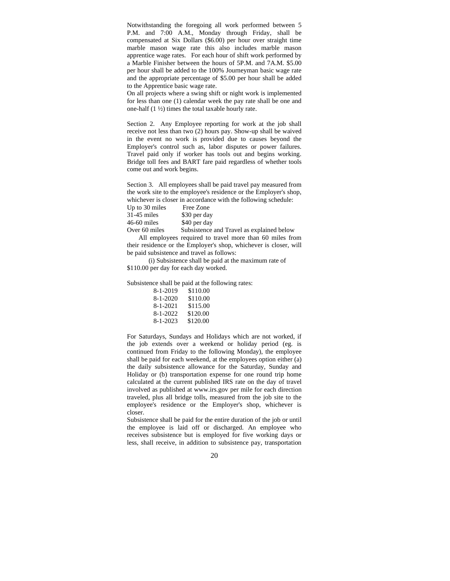Notwithstanding the foregoing all work performed between 5 P.M. and 7:00 A.M., Monday through Friday, shall be compensated at Six Dollars (\$6.00) per hour over straight time marble mason wage rate this also includes marble mason apprentice wage rates. For each hour of shift work performed by a Marble Finisher between the hours of 5P.M. and 7A.M. \$5.00 per hour shall be added to the 100% Journeyman basic wage rate and the appropriate percentage of \$5.00 per hour shall be added to the Apprentice basic wage rate.

On all projects where a swing shift or night work is implemented for less than one (1) calendar week the pay rate shall be one and one-half (1 ½) times the total taxable hourly rate.

Section 2. Any Employee reporting for work at the job shall receive not less than two (2) hours pay. Show-up shall be waived in the event no work is provided due to causes beyond the Employer's control such as, labor disputes or power failures. Travel paid only if worker has tools out and begins working. Bridge toll fees and BART fare paid regardless of whether tools come out and work begins.

Section 3. All employees shall be paid travel pay measured from the work site to the employee's residence or the Employer's shop, whichever is closer in accordance with the following schedule:

| Up to 30 miles | Free Zone                                 |
|----------------|-------------------------------------------|
| $31-45$ miles  | \$30 per day                              |
| $46-60$ miles  | \$40 per day                              |
| Over 60 miles  | Subsistence and Travel as explained below |

 All employees required to travel more than 60 miles from their residence or the Employer's shop, whichever is closer, will be paid subsistence and travel as follows:

 (i) Subsistence shall be paid at the maximum rate of \$110.00 per day for each day worked.

Subsistence shall be paid at the following rates:

| \$110.00 |
|----------|
| \$110.00 |
| \$115.00 |
| \$120.00 |
| \$120.00 |
|          |

For Saturdays, Sundays and Holidays which are not worked, if the job extends over a weekend or holiday period (eg. is continued from Friday to the following Monday), the employee shall be paid for each weekend, at the employees option either (a) the daily subsistence allowance for the Saturday, Sunday and Holiday or (b) transportation expense for one round trip home calculated at the current published IRS rate on the day of travel involved as published at www.irs.gov per mile for each direction traveled, plus all bridge tolls, measured from the job site to the employee's residence or the Employer's shop, whichever is closer.

Subsistence shall be paid for the entire duration of the job or until the employee is laid off or discharged. An employee who receives subsistence but is employed for five working days or less, shall receive, in addition to subsistence pay, transportation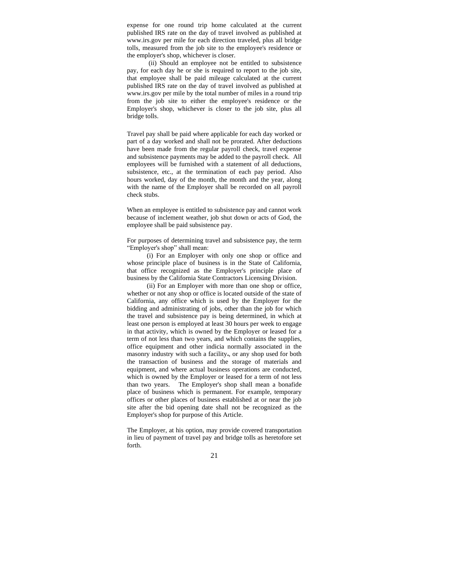expense for one round trip home calculated at the current published IRS rate on the day of travel involved as published at www.irs.gov per mile for each direction traveled, plus all bridge tolls, measured from the job site to the employee's residence or the employer's shop, whichever is closer.

 (ii) Should an employee not be entitled to subsistence pay, for each day he or she is required to report to the job site, that employee shall be paid mileage calculated at the current published IRS rate on the day of travel involved as published at www.irs.gov per mile by the total number of miles in a round trip from the job site to either the employee's residence or the Employer's shop, whichever is closer to the job site, plus all bridge tolls.

Travel pay shall be paid where applicable for each day worked or part of a day worked and shall not be prorated. After deductions have been made from the regular payroll check, travel expense and subsistence payments may be added to the payroll check. All employees will be furnished with a statement of all deductions, subsistence, etc., at the termination of each pay period. Also hours worked, day of the month, the month and the year, along with the name of the Employer shall be recorded on all payroll check stubs.

When an employee is entitled to subsistence pay and cannot work because of inclement weather, job shut down or acts of God, the employee shall be paid subsistence pay.

For purposes of determining travel and subsistence pay, the term "Employer's shop" shall mean:

 (i) For an Employer with only one shop or office and whose principle place of business is in the State of California, that office recognized as the Employer's principle place of business by the California State Contractors Licensing Division.

 (ii) For an Employer with more than one shop or office, whether or not any shop or office is located outside of the state of California, any office which is used by the Employer for the bidding and administrating of jobs, other than the job for which the travel and subsistence pay is being determined, in which at least one person is employed at least 30 hours per week to engage in that activity, which is owned by the Employer or leased for a term of not less than two years, and which contains the supplies, office equipment and other indicia normally associated in the masonry industry with such a facility., or any shop used for both the transaction of business and the storage of materials and equipment, and where actual business operations are conducted, which is owned by the Employer or leased for a term of not less than two years. The Employer's shop shall mean a bonafide place of business which is permanent. For example, temporary offices or other places of business established at or near the job site after the bid opening date shall not be recognized as the Employer's shop for purpose of this Article.

The Employer, at his option, may provide covered transportation in lieu of payment of travel pay and bridge tolls as heretofore set forth.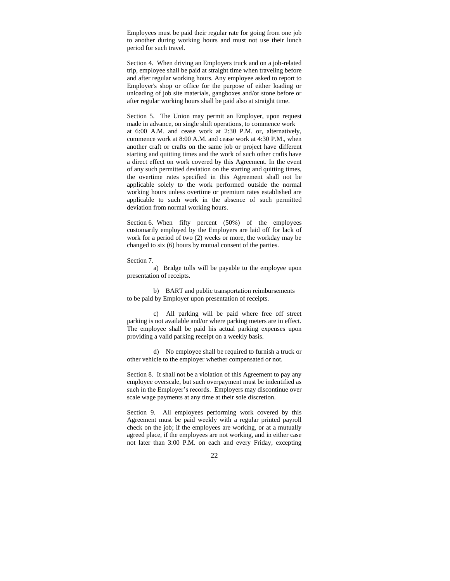Employees must be paid their regular rate for going from one job to another during working hours and must not use their lunch period for such travel.

Section 4. When driving an Employers truck and on a job-related trip, employee shall be paid at straight time when traveling before and after regular working hours. Any employee asked to report to Employer's shop or office for the purpose of either loading or unloading of job site materials, gangboxes and/or stone before or after regular working hours shall be paid also at straight time.

Section 5. The Union may permit an Employer, upon request made in advance, on single shift operations, to commence work at 6:00 A.M. and cease work at 2:30 P.M. or, alternatively, commence work at 8:00 A.M. and cease work at 4:30 P.M., when another craft or crafts on the same job or project have different starting and quitting times and the work of such other crafts have a direct effect on work covered by this Agreement. In the event of any such permitted deviation on the starting and quitting times, the overtime rates specified in this Agreement shall not be applicable solely to the work performed outside the normal working hours unless overtime or premium rates established are applicable to such work in the absence of such permitted deviation from normal working hours.

Section 6. When fifty percent (50%) of the employees customarily employed by the Employers are laid off for lack of work for a period of two (2) weeks or more, the workday may be changed to six (6) hours by mutual consent of the parties.

Section 7.

a) Bridge tolls will be payable to the employee upon presentation of receipts.

b) BART and public transportation reimbursements to be paid by Employer upon presentation of receipts.

c) All parking will be paid where free off street parking is not available and/or where parking meters are in effect. The employee shall be paid his actual parking expenses upon providing a valid parking receipt on a weekly basis.

d) No employee shall be required to furnish a truck or other vehicle to the employer whether compensated or not.

Section 8. It shall not be a violation of this Agreement to pay any employee overscale, but such overpayment must be indentified as such in the Employer's records. Employers may discontinue over scale wage payments at any time at their sole discretion.

Section 9. All employees performing work covered by this Agreement must be paid weekly with a regular printed payroll check on the job; if the employees are working, or at a mutually agreed place, if the employees are not working, and in either case not later than 3:00 P.M. on each and every Friday, excepting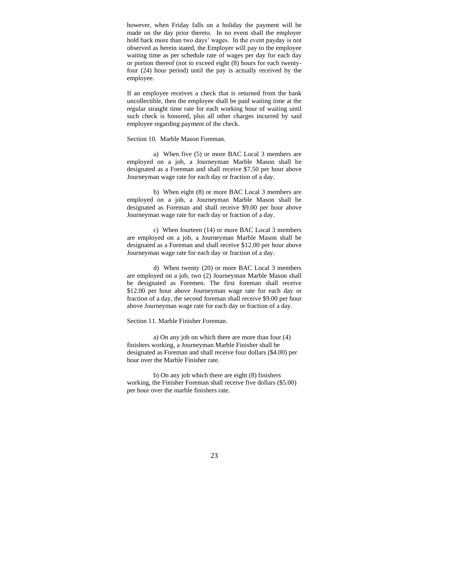however, when Friday falls on a holiday the payment will be made on the day prior thereto. In no event shall the employer hold back more than two days' wages. In the event payday is not observed as herein stated, the Employer will pay to the employee waiting time as per schedule rate of wages per day for each day or portion thereof (not to exceed eight (8) hours for each twentyfour (24) hour period) until the pay is actually received by the employee.

If an employee receives a check that is returned from the bank uncollectible, then the employee shall be paid waiting time at the regular straight time rate for each working hour of waiting until such check is honored, plus all other charges incurred by said employee regarding payment of the check.

#### Section 10. Marble Mason Foreman.

a) When five (5) or more BAC Local 3 members are employed on a job, a Journeyman Marble Mason shall be designated as a Foreman and shall receive \$7.50 per hour above Journeyman wage rate for each day or fraction of a day.

b) When eight (8) or more BAC Local 3 members are employed on a job, a Journeyman Marble Mason shall be designated as Foreman and shall receive \$9.00 per hour above Journeyman wage rate for each day or fraction of a day.

c) When fourteen (14) or more BAC Local 3 members are employed on a job, a Journeyman Marble Mason shall be designated as a Foreman and shall receive \$12.00 per hour above Journeyman wage rate for each day or fraction of a day.

d) When twenty (20) or more BAC Local 3 members are employed on a job, two (2) Journeyman Marble Mason shall be designated as Foremen. The first foreman shall receive \$12.00 per hour above Journeyman wage rate for each day or fraction of a day, the second foreman shall receive \$9.00 per hour above Journeyman wage rate for each day or fraction of a day.

#### Section 11. Marble Finisher Foreman.

a) On any job on which there are more than four (4) finishers working, a Journeyman Marble Finisher shall be designated as Foreman and shall receive four dollars (\$4.00) per hour over the Marble Finisher rate.

b) On any job which there are eight (8) finishers working, the Finisher Foreman shall receive five dollars (\$5.00) per hour over the marble finishers rate.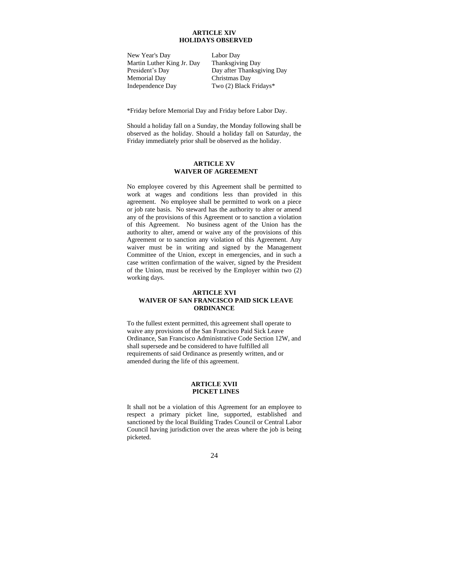#### **ARTICLE XIV HOLIDAYS OBSERVED**

New Year's Day Martin Luther King Jr. Day President's Day Memorial Day Independence Day

Labor Day Thanksgiving Day Day after Thanksgiving Day Christmas Day Two (2) Black Fridays\*

\*Friday before Memorial Day and Friday before Labor Day.

Should a holiday fall on a Sunday, the Monday following shall be observed as the holiday. Should a holiday fall on Saturday, the Friday immediately prior shall be observed as the holiday.

#### **ARTICLE XV WAIVER OF AGREEMENT**

No employee covered by this Agreement shall be permitted to work at wages and conditions less than provided in this agreement. No employee shall be permitted to work on a piece or job rate basis. No steward has the authority to alter or amend any of the provisions of this Agreement or to sanction a violation of this Agreement. No business agent of the Union has the authority to alter, amend or waive any of the provisions of this Agreement or to sanction any violation of this Agreement. Any waiver must be in writing and signed by the Management Committee of the Union, except in emergencies, and in such a case written confirmation of the waiver, signed by the President of the Union, must be received by the Employer within two (2) working days.

#### **ARTICLE XVI WAIVER OF SAN FRANCISCO PAID SICK LEAVE ORDINANCE**

To the fullest extent permitted, this agreement shall operate to waive any provisions of the San Francisco Paid Sick Leave Ordinance, San Francisco Administrative Code Section 12W, and shall supersede and be considered to have fulfilled all requirements of said Ordinance as presently written, and or amended during the life of this agreement.

#### **ARTICLE XVII PICKET LINES**

It shall not be a violation of this Agreement for an employee to respect a primary picket line, supported, established and sanctioned by the local Building Trades Council or Central Labor Council having jurisdiction over the areas where the job is being picketed.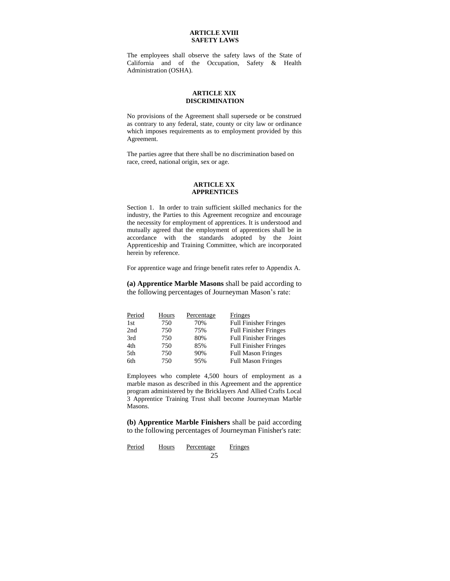#### **ARTICLE XVIII SAFETY LAWS**

The employees shall observe the safety laws of the State of California and of the Occupation, Safety & Health Administration (OSHA).

#### **ARTICLE XIX DISCRIMINATION**

No provisions of the Agreement shall supersede or be construed as contrary to any federal, state, county or city law or ordinance which imposes requirements as to employment provided by this Agreement.

The parties agree that there shall be no discrimination based on race, creed, national origin, sex or age.

#### **ARTICLE XX APPRENTICES**

Section 1. In order to train sufficient skilled mechanics for the industry, the Parties to this Agreement recognize and encourage the necessity for employment of apprentices. It is understood and mutually agreed that the employment of apprentices shall be in accordance with the standards adopted by the Joint Apprenticeship and Training Committee, which are incorporated herein by reference.

For apprentice wage and fringe benefit rates refer to Appendix A.

**(a) Apprentice Marble Masons** shall be paid according to the following percentages of Journeyman Mason's rate:

| Period | Hours | Percentage | Fringes                      |
|--------|-------|------------|------------------------------|
| 1st    | 750   | 70%        | <b>Full Finisher Fringes</b> |
| 2nd    | 750   | 75%        | <b>Full Finisher Fringes</b> |
| 3rd    | 750   | 80%        | <b>Full Finisher Fringes</b> |
| 4th    | 750   | 85%        | <b>Full Finisher Fringes</b> |
| 5th    | 750   | 90%        | <b>Full Mason Fringes</b>    |
| 6th    | 750   | 95%        | <b>Full Mason Fringes</b>    |

Employees who complete 4,500 hours of employment as a marble mason as described in this Agreement and the apprentice program administered by the Bricklayers And Allied Crafts Local 3 Apprentice Training Trust shall become Journeyman Marble Masons.

**(b) Apprentice Marble Finishers** shall be paid according to the following percentages of Journeyman Finisher's rate:

25 Period Hours Percentage Fringes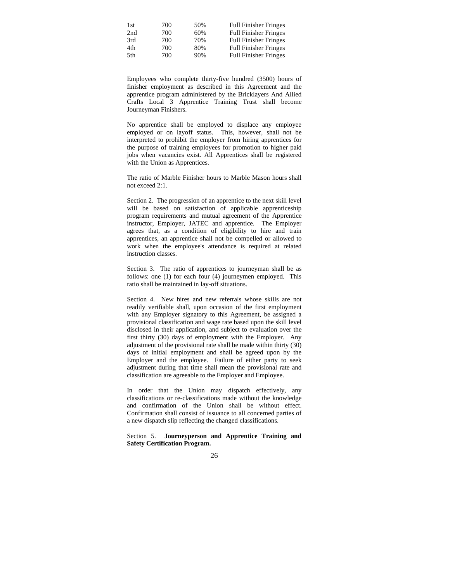| 1st | 700 | 50% | <b>Full Finisher Fringes</b> |
|-----|-----|-----|------------------------------|
| 2nd | 700 | 60% | <b>Full Finisher Fringes</b> |
| 3rd | 700 | 70% | <b>Full Finisher Fringes</b> |
| 4th | 700 | 80% | <b>Full Finisher Fringes</b> |
| 5th | 700 | 90% | <b>Full Finisher Fringes</b> |

Employees who complete thirty-five hundred (3500) hours of finisher employment as described in this Agreement and the apprentice program administered by the Bricklayers And Allied Crafts Local 3 Apprentice Training Trust shall become Journeyman Finishers.

No apprentice shall be employed to displace any employee employed or on layoff status. This, however, shall not be interpreted to prohibit the employer from hiring apprentices for the purpose of training employees for promotion to higher paid jobs when vacancies exist. All Apprentices shall be registered with the Union as Apprentices.

The ratio of Marble Finisher hours to Marble Mason hours shall not exceed 2:1.

Section 2. The progression of an apprentice to the next skill level will be based on satisfaction of applicable apprenticeship program requirements and mutual agreement of the Apprentice instructor, Employer, JATEC and apprentice. The Employer agrees that, as a condition of eligibility to hire and train apprentices, an apprentice shall not be compelled or allowed to work when the employee's attendance is required at related instruction classes.

Section 3. The ratio of apprentices to journeyman shall be as follows: one (1) for each four (4) journeymen employed. This ratio shall be maintained in lay-off situations.

Section 4. New hires and new referrals whose skills are not readily verifiable shall, upon occasion of the first employment with any Employer signatory to this Agreement, be assigned a provisional classification and wage rate based upon the skill level disclosed in their application, and subject to evaluation over the first thirty (30) days of employment with the Employer. Any adjustment of the provisional rate shall be made within thirty (30) days of initial employment and shall be agreed upon by the Employer and the employee. Failure of either party to seek adjustment during that time shall mean the provisional rate and classification are agreeable to the Employer and Employee.

In order that the Union may dispatch effectively, any classifications or re-classifications made without the knowledge and confirmation of the Union shall be without effect. Confirmation shall consist of issuance to all concerned parties of a new dispatch slip reflecting the changed classifications.

Section 5. **Journeyperson and Apprentice Training and Safety Certification Program.**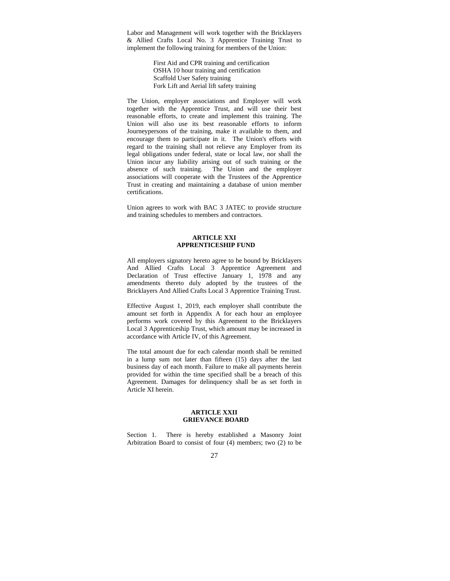Labor and Management will work together with the Bricklayers & Allied Crafts Local No. 3 Apprentice Training Trust to implement the following training for members of the Union:

> First Aid and CPR training and certification OSHA 10 hour training and certification Scaffold User Safety training Fork Lift and Aerial lift safety training

The Union, employer associations and Employer will work together with the Apprentice Trust, and will use their best reasonable efforts, to create and implement this training. The Union will also use its best reasonable efforts to inform Journeypersons of the training, make it available to them, and encourage them to participate in it. The Union's efforts with regard to the training shall not relieve any Employer from its legal obligations under federal, state or local law, nor shall the Union incur any liability arising out of such training or the absence of such training. The Union and the employer associations will cooperate with the Trustees of the Apprentice Trust in creating and maintaining a database of union member certifications.

Union agrees to work with BAC 3 JATEC to provide structure and training schedules to members and contractors.

#### **ARTICLE XXI APPRENTICESHIP FUND**

All employers signatory hereto agree to be bound by Bricklayers And Allied Crafts Local 3 Apprentice Agreement and Declaration of Trust effective January 1, 1978 and any amendments thereto duly adopted by the trustees of the Bricklayers And Allied Crafts Local 3 Apprentice Training Trust.

Effective August 1, 2019, each employer shall contribute the amount set forth in Appendix A for each hour an employee performs work covered by this Agreement to the Bricklayers Local 3 Apprenticeship Trust, which amount may be increased in accordance with Article IV, of this Agreement.

The total amount due for each calendar month shall be remitted in a lump sum not later than fifteen (15) days after the last business day of each month. Failure to make all payments herein provided for within the time specified shall be a breach of this Agreement. Damages for delinquency shall be as set forth in Article XI herein.

#### **ARTICLE XXII GRIEVANCE BOARD**

Section 1. There is hereby established a Masonry Joint Arbitration Board to consist of four (4) members; two (2) to be

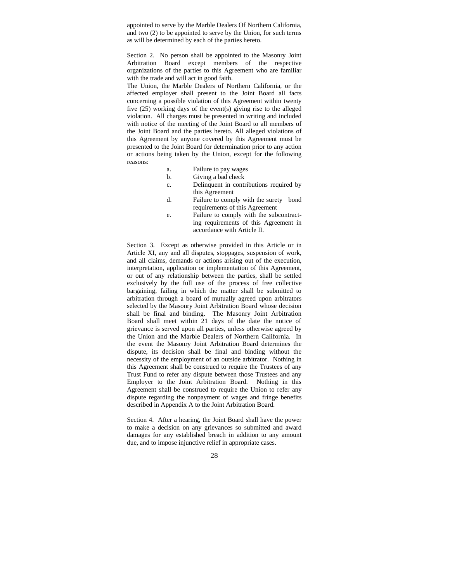appointed to serve by the Marble Dealers Of Northern California, and two (2) to be appointed to serve by the Union, for such terms as will be determined by each of the parties hereto.

Section 2. No person shall be appointed to the Masonry Joint Arbitration Board except members of the respective organizations of the parties to this Agreement who are familiar with the trade and will act in good faith.

The Union, the Marble Dealers of Northern California, or the affected employer shall present to the Joint Board all facts concerning a possible violation of this Agreement within twenty five (25) working days of the event(s) giving rise to the alleged violation. All charges must be presented in writing and included with notice of the meeting of the Joint Board to all members of the Joint Board and the parties hereto. All alleged violations of this Agreement by anyone covered by this Agreement must be presented to the Joint Board for determination prior to any action or actions being taken by the Union, except for the following reasons:

- a. Failure to pay wages
- b. Giving a bad check
- c. Delinquent in contributions required by this Agreement
- d. Failure to comply with the surety bond requirements of this Agreement
- e. Failure to comply with the subcontracting requirements of this Agreement in accordance with Article II.

Section 3. Except as otherwise provided in this Article or in Article XI, any and all disputes, stoppages, suspension of work, and all claims, demands or actions arising out of the execution, interpretation, application or implementation of this Agreement, or out of any relationship between the parties, shall be settled exclusively by the full use of the process of free collective bargaining, failing in which the matter shall be submitted to arbitration through a board of mutually agreed upon arbitrators selected by the Masonry Joint Arbitration Board whose decision shall be final and binding. The Masonry Joint Arbitration Board shall meet within 21 days of the date the notice of grievance is served upon all parties, unless otherwise agreed by the Union and the Marble Dealers of Northern California. In the event the Masonry Joint Arbitration Board determines the dispute, its decision shall be final and binding without the necessity of the employment of an outside arbitrator. Nothing in this Agreement shall be construed to require the Trustees of any Trust Fund to refer any dispute between those Trustees and any Employer to the Joint Arbitration Board. Nothing in this Agreement shall be construed to require the Union to refer any dispute regarding the nonpayment of wages and fringe benefits described in Appendix A to the Joint Arbitration Board.

Section 4. After a hearing, the Joint Board shall have the power to make a decision on any grievances so submitted and award damages for any established breach in addition to any amount due, and to impose injunctive relief in appropriate cases.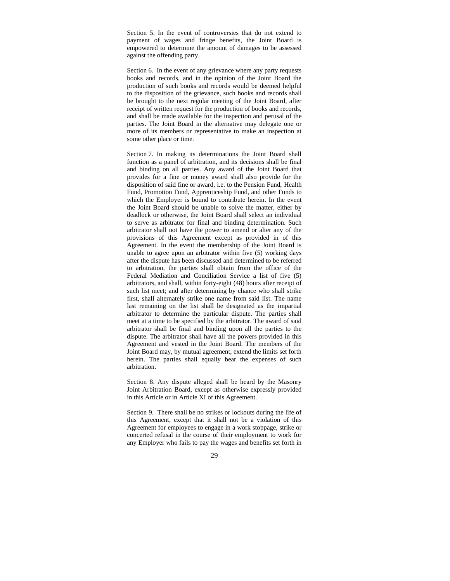Section 5. In the event of controversies that do not extend to payment of wages and fringe benefits, the Joint Board is empowered to determine the amount of damages to be assessed against the offending party.

Section 6. In the event of any grievance where any party requests books and records, and in the opinion of the Joint Board the production of such books and records would be deemed helpful to the disposition of the grievance, such books and records shall be brought to the next regular meeting of the Joint Board, after receipt of written request for the production of books and records, and shall be made available for the inspection and perusal of the parties. The Joint Board in the alternative may delegate one or more of its members or representative to make an inspection at some other place or time.

Section 7. In making its determinations the Joint Board shall function as a panel of arbitration, and its decisions shall be final and binding on all parties. Any award of the Joint Board that provides for a fine or money award shall also provide for the disposition of said fine or award, i.e. to the Pension Fund, Health Fund, Promotion Fund, Apprenticeship Fund, and other Funds to which the Employer is bound to contribute herein. In the event the Joint Board should be unable to solve the matter, either by deadlock or otherwise, the Joint Board shall select an individual to serve as arbitrator for final and binding determination. Such arbitrator shall not have the power to amend or alter any of the provisions of this Agreement except as provided in of this Agreement. In the event the membership of the Joint Board is unable to agree upon an arbitrator within five (5) working days after the dispute has been discussed and determined to be referred to arbitration, the parties shall obtain from the office of the Federal Mediation and Conciliation Service a list of five (5) arbitrators, and shall, within forty-eight (48) hours after receipt of such list meet; and after determining by chance who shall strike first, shall alternately strike one name from said list. The name last remaining on the list shall be designated as the impartial arbitrator to determine the particular dispute. The parties shall meet at a time to be specified by the arbitrator. The award of said arbitrator shall be final and binding upon all the parties to the dispute. The arbitrator shall have all the powers provided in this Agreement and vested in the Joint Board. The members of the Joint Board may, by mutual agreement, extend the limits set forth herein. The parties shall equally bear the expenses of such arbitration.

Section 8. Any dispute alleged shall be heard by the Masonry Joint Arbitration Board, except as otherwise expressly provided in this Article or in Article XI of this Agreement.

Section 9. There shall be no strikes or lockouts during the life of this Agreement, except that it shall not be a violation of this Agreement for employees to engage in a work stoppage, strike or concerted refusal in the course of their employment to work for any Employer who fails to pay the wages and benefits set forth in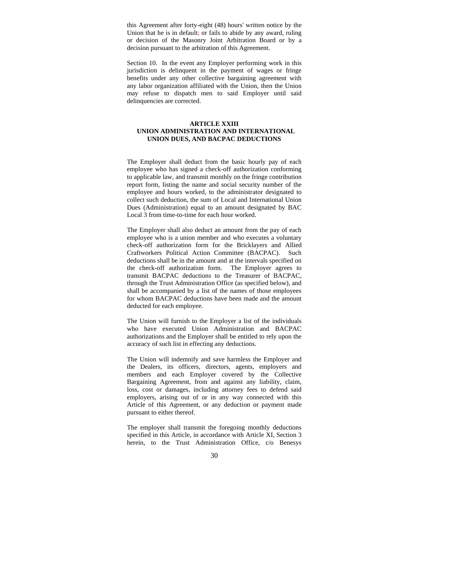this Agreement after forty-eight (48) hours' written notice by the Union that he is in default; or fails to abide by any award, ruling or decision of the Masonry Joint Arbitration Board or by a decision pursuant to the arbitration of this Agreement.

Section 10. In the event any Employer performing work in this jurisdiction is delinquent in the payment of wages or fringe benefits under any other collective bargaining agreement with any labor organization affiliated with the Union, then the Union may refuse to dispatch men to said Employer until said delinquencies are corrected.

#### **ARTICLE XXIII UNION ADMINISTRATION AND INTERNATIONAL UNION DUES, AND BACPAC DEDUCTIONS**

The Employer shall deduct from the basic hourly pay of each employee who has signed a check-off authorization conforming to applicable law, and transmit monthly on the fringe contribution report form, listing the name and social security number of the employee and hours worked, to the administrator designated to collect such deduction, the sum of Local and International Union Dues (Administration) equal to an amount designated by BAC Local 3 from time-to-time for each hour worked.

The Employer shall also deduct an amount from the pay of each employee who is a union member and who executes a voluntary check-off authorization form for the Bricklayers and Allied Craftworkers Political Action Committee (BACPAC). Such deductions shall be in the amount and at the intervals specified on the check-off authorization form. The Employer agrees to transmit BACPAC deductions to the Treasurer of BACPAC, through the Trust Administration Office (as specified below), and shall be accompanied by a list of the names of those employees for whom BACPAC deductions have been made and the amount deducted for each employee.

The Union will furnish to the Employer a list of the individuals who have executed Union Administration and BACPAC authorizations and the Employer shall be entitled to rely upon the accuracy of such list in effecting any deductions.

The Union will indemnify and save harmless the Employer and the Dealers, its officers, directors, agents, employers and members and each Employer covered by the Collective Bargaining Agreement, from and against any liability, claim, loss, cost or damages, including attorney fees to defend said employers, arising out of or in any way connected with this Article of this Agreement, or any deduction or payment made pursuant to either thereof.

The employer shall transmit the foregoing monthly deductions specified in this Article, in accordance with Article XI, Section 3 herein, to the Trust Administration Office, c/o Benesys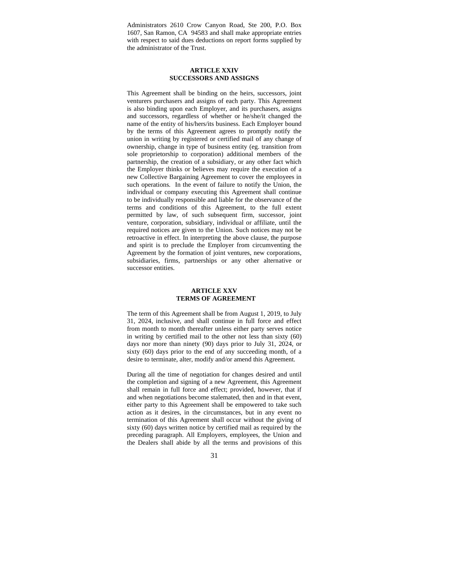Administrators 2610 Crow Canyon Road, Ste 200, P.O. Box 1607, San Ramon, CA 94583 and shall make appropriate entries with respect to said dues deductions on report forms supplied by the administrator of the Trust.

#### **ARTICLE XXIV SUCCESSORS AND ASSIGNS**

This Agreement shall be binding on the heirs, successors, joint venturers purchasers and assigns of each party. This Agreement is also binding upon each Employer, and its purchasers, assigns and successors, regardless of whether or he/she/it changed the name of the entity of his/hers/its business. Each Employer bound by the terms of this Agreement agrees to promptly notify the union in writing by registered or certified mail of any change of ownership, change in type of business entity (eg. transition from sole proprietorship to corporation) additional members of the partnership, the creation of a subsidiary, or any other fact which the Employer thinks or believes may require the execution of a new Collective Bargaining Agreement to cover the employees in such operations. In the event of failure to notify the Union, the individual or company executing this Agreement shall continue to be individually responsible and liable for the observance of the terms and conditions of this Agreement, to the full extent permitted by law, of such subsequent firm, successor, joint venture, corporation, subsidiary, individual or affiliate, until the required notices are given to the Union. Such notices may not be retroactive in effect. In interpreting the above clause, the purpose and spirit is to preclude the Employer from circumventing the Agreement by the formation of joint ventures, new corporations, subsidiaries, firms, partnerships or any other alternative or successor entities.

#### **ARTICLE XXV TERMS OF AGREEMENT**

The term of this Agreement shall be from August 1, 2019, to July 31, 2024, inclusive, and shall continue in full force and effect from month to month thereafter unless either party serves notice in writing by certified mail to the other not less than sixty (60) days nor more than ninety (90) days prior to July 31, 2024, or sixty (60) days prior to the end of any succeeding month, of a desire to terminate, alter, modify and/or amend this Agreement.

During all the time of negotiation for changes desired and until the completion and signing of a new Agreement, this Agreement shall remain in full force and effect; provided, however, that if and when negotiations become stalemated, then and in that event, either party to this Agreement shall be empowered to take such action as it desires, in the circumstances, but in any event no termination of this Agreement shall occur without the giving of sixty (60) days written notice by certified mail as required by the preceding paragraph. All Employers, employees, the Union and the Dealers shall abide by all the terms and provisions of this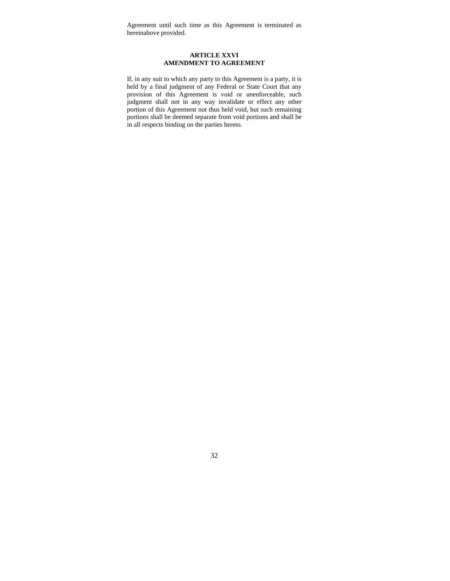Agreement until such time as this Agreement is terminated as hereinabove provided.

#### **ARTICLE XXVI AMENDMENT TO AGREEMENT**

If, in any suit to which any party to this Agreement is a party, it is held by a final judgment of any Federal or State Court that any provision of this Agreement is void or unenforceable, such judgment shall not in any way invalidate or effect any other portion of this Agreement not thus held void, but such remaining portions shall be deemed separate from void portions and shall be in all respects binding on the parties hereto.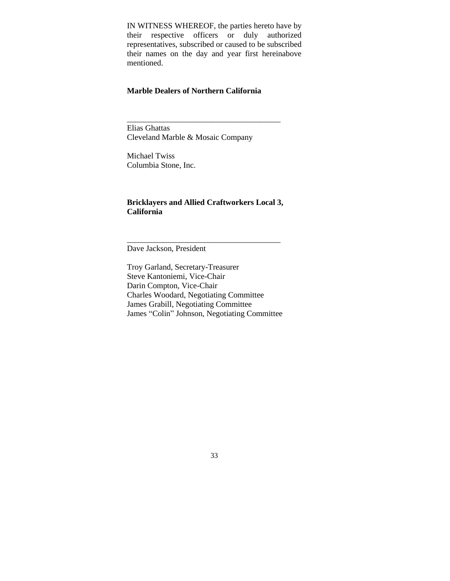IN WITNESS WHEREOF, the parties hereto have by their respective officers or duly authorized representatives, subscribed or caused to be subscribed their names on the day and year first hereinabove mentioned.

## **Marble Dealers of Northern California**

\_\_\_\_\_\_\_\_\_\_\_\_\_\_\_\_\_\_\_\_\_\_\_\_\_\_\_\_\_\_\_\_\_\_\_\_\_\_

Elias Ghattas Cleveland Marble & Mosaic Company

Michael Twiss Columbia Stone, Inc.

## **Bricklayers and Allied Craftworkers Local 3, California**

\_\_\_\_\_\_\_\_\_\_\_\_\_\_\_\_\_\_\_\_\_\_\_\_\_\_\_\_\_\_\_\_\_\_\_\_\_\_

Dave Jackson, President

Troy Garland, Secretary-Treasurer Steve Kantoniemi, Vice-Chair Darin Compton, Vice-Chair Charles Woodard, Negotiating Committee James Grabill, Negotiating Committee James "Colin" Johnson, Negotiating Committee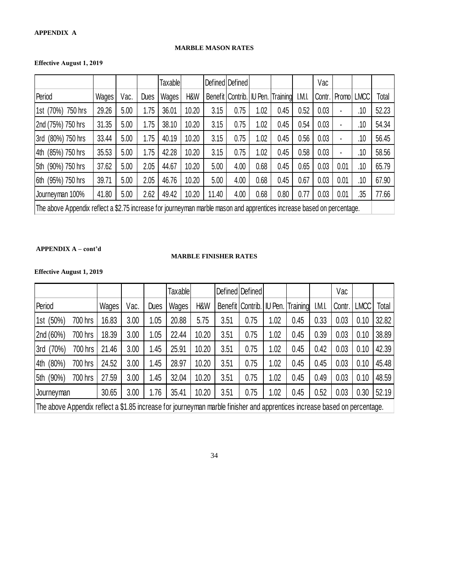## **MARBLE MASON RATES**

## **Effective August 1, 2019**

|                                                                                                                        |       |      |             | <b>Taxable</b> |       |       | Defined Defined  |      |                         |        | Vac    |       |             |       |
|------------------------------------------------------------------------------------------------------------------------|-------|------|-------------|----------------|-------|-------|------------------|------|-------------------------|--------|--------|-------|-------------|-------|
| Period                                                                                                                 | Wages | Vac. | <b>Dues</b> | Wages          | H&W   |       | Benefit Contrib. |      | <b>IU Pen. Training</b> | I.M.I. | Contr. | Promo | <b>LMCC</b> | Total |
| 1st (70%)<br>750 hrs                                                                                                   | 29.26 | 5.00 | 1.75        | 36.01          | 10.20 | 3.15  | 0.75             | 1.02 | 0.45                    | 0.52   | 0.03   | ٠     | .10         | 52.23 |
| 2nd (75%) 750 hrs                                                                                                      | 31.35 | 5.00 | 1.75        | 38.10          | 10.20 | 3.15  | 0.75             | 1.02 | 0.45                    | 0.54   | 0.03   | ٠     | .10         | 54.34 |
| (80%) 750 hrs<br>3rd                                                                                                   | 33.44 | 5.00 | 1.75        | 40.19          | 10.20 | 3.15  | 0.75             | 1.02 | 0.45                    | 0.56   | 0.03   | ٠     | .10         | 56.45 |
| (85%) 750 hrs<br>4th                                                                                                   | 35.53 | 5.00 | 1.75        | 42.28          | 10.20 | 3.15  | 0.75             | 1.02 | 0.45                    | 0.58   | 0.03   | ٠     | .10         | 58.56 |
| (90%) 750 hrs<br>5th                                                                                                   | 37.62 | 5.00 | 2.05        | 44.67          | 10.20 | 5.00  | 4.00             | 0.68 | 0.45                    | 0.65   | 0.03   | 0.01  | .10         | 65.79 |
| (95%) 750 hrs<br>6th                                                                                                   | 39.71 | 5.00 | 2.05        | 46.76          | 10.20 | 5.00  | 4.00             | 0.68 | 0.45                    | 0.67   | 0.03   | 0.01  | .10         | 67.90 |
| Journeyman 100%                                                                                                        | 41.80 | 5.00 | 2.62        | 49.42          | 10.20 | 11.40 | 4.00             | 0.68 | 0.80                    | 0.77   | 0.03   | 0.01  | .35         | 77.66 |
| The above Appendix reflect a \$2.75 increase for journeyman marble mason and apprentices increase based on percentage. |       |      |             |                |       |       |                  |      |                         |        |        |       |             |       |

### **APPENDIX A – cont'd**

### **MARBLE FINISHER RATES**

### **Effective August 1, 2019**

|                                                                                                                           |         |       |      |             | <b>Taxable</b> |       |      | Defined   Defined |         |          |        | Vac    |             |       |
|---------------------------------------------------------------------------------------------------------------------------|---------|-------|------|-------------|----------------|-------|------|-------------------|---------|----------|--------|--------|-------------|-------|
| Period                                                                                                                    |         | Wages | Vac. | <b>Dues</b> | Wages          | H&W   |      | Benefit Contrib.  | IU Pen. | Training | I.M.I. | Contr. | <b>LMCC</b> | Total |
| (50%)<br>1st                                                                                                              | 700 hrs | 16.83 | 3.00 | 1.05        | 20.88          | 5.75  | 3.51 | 0.75              | 1.02    | 0.45     | 0.33   | 0.03   | 0.10        | 32.82 |
| 2nd (60%)                                                                                                                 | 700 hrs | 18.39 | 3.00 | 1.05        | 22.44          | 10.20 | 3.51 | 0.75              | 1.02    | 0.45     | 0.39   | 0.03   | 0.10        | 38.89 |
| (70%)<br>3rd                                                                                                              | 700 hrs | 21.46 | 3.00 | 1.45        | 25.91          | 10.20 | 3.51 | 0.75              | 1.02    | 0.45     | 0.42   | 0.03   | 0.10        | 42.39 |
| (80%)<br>4th                                                                                                              | 700 hrs | 24.52 | 3.00 | 1.45        | 28.97          | 10.20 | 3.51 | 0.75              | 1.02    | 0.45     | 0.45   | 0.03   | 0.10        | 45.48 |
| (90%)<br>5th                                                                                                              | 700 hrs | 27.59 | 3.00 | 1.45        | 32.04          | 10.20 | 3.51 | 0.75              | 1.02    | 0.45     | 0.49   | 0.03   | 0.10        | 48.59 |
| Journeyman                                                                                                                |         | 30.65 | 3.00 | 1.76        | 35.41          | 10.20 | 3.51 | 0.75              | 1.02    | 0.45     | 0.52   | 0.03   | 0.30        | 52.19 |
| The above Appendix reflect a \$1.85 increase for journeyman marble finisher and apprentices increase based on percentage. |         |       |      |             |                |       |      |                   |         |          |        |        |             |       |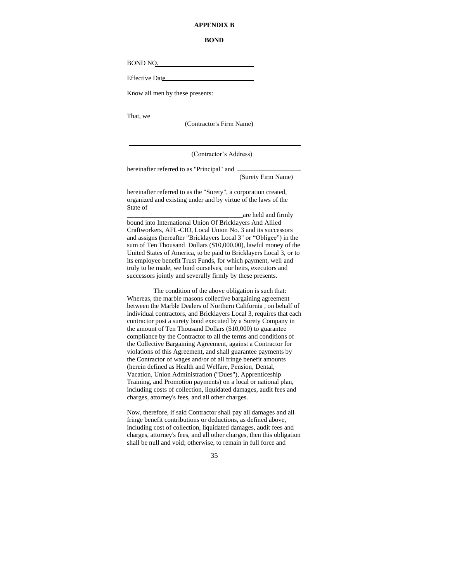#### **APPENDIX B**

#### **BOND**

BOND NO.

Effective Date

Know all men by these presents:

That, we \_

-

(Contractor's Firm Name)

(Contractor's Address)

hereinafter referred to as "Principal" and (Surety Firm Name)

hereinafter referred to as the "Surety", a corporation created, organized and existing under and by virtue of the laws of the State of

\_\_\_\_\_\_\_\_\_\_\_\_\_\_\_\_\_\_\_\_\_\_\_\_\_\_\_\_\_\_\_\_\_\_\_are held and firmly bound into International Union Of Bricklayers And Allied Craftworkers, AFL-CIO, Local Union No. 3 and its successors and assigns (hereafter "Bricklayers Local 3" or "Obligee") in the sum of Ten Thousand Dollars (\$10,000.00), lawful money of the United States of America, to be paid to Bricklayers Local 3, or to its employee benefit Trust Funds, for which payment, well and truly to be made, we bind ourselves, our heirs, executors and successors jointly and severally firmly by these presents.

The condition of the above obligation is such that: Whereas, the marble masons collective bargaining agreement between the Marble Dealers of Northern California , on behalf of individual contractors, and Bricklayers Local 3, requires that each contractor post a surety bond executed by a Surety Company in the amount of Ten Thousand Dollars (\$10,000) to guarantee compliance by the Contractor to all the terms and conditions of the Collective Bargaining Agreement, against a Contractor for violations of this Agreement, and shall guarantee payments by the Contractor of wages and/or of all fringe benefit amounts (herein defined as Health and Welfare, Pension, Dental, Vacation, Union Administration ("Dues"), Apprenticeship Training, and Promotion payments) on a local or national plan, including costs of collection, liquidated damages, audit fees and charges, attorney's fees, and all other charges.

Now, therefore, if said Contractor shall pay all damages and all fringe benefit contributions or deductions, as defined above, including cost of collection, liquidated damages, audit fees and charges, attorney's fees, and all other charges, then this obligation shall be null and void; otherwise, to remain in full force and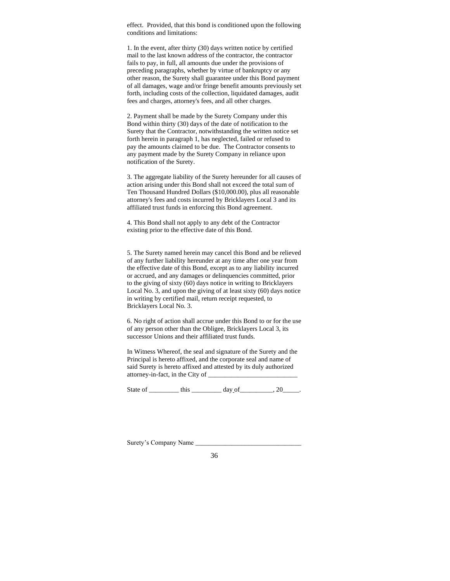effect. Provided, that this bond is conditioned upon the following conditions and limitations:

1. In the event, after thirty (30) days written notice by certified mail to the last known address of the contractor, the contractor fails to pay, in full, all amounts due under the provisions of preceding paragraphs, whether by virtue of bankruptcy or any other reason, the Surety shall guarantee under this Bond payment of all damages, wage and/or fringe benefit amounts previously set forth, including costs of the collection, liquidated damages, audit fees and charges, attorney's fees, and all other charges.

2. Payment shall be made by the Surety Company under this Bond within thirty (30) days of the date of notification to the Surety that the Contractor, notwithstanding the written notice set forth herein in paragraph 1, has neglected, failed or refused to pay the amounts claimed to be due. The Contractor consents to any payment made by the Surety Company in reliance upon notification of the Surety.

3. The aggregate liability of the Surety hereunder for all causes of action arising under this Bond shall not exceed the total sum of Ten Thousand Hundred Dollars (\$10,000.00), plus all reasonable attorney's fees and costs incurred by Bricklayers Local 3 and its affiliated trust funds in enforcing this Bond agreement.

4. This Bond shall not apply to any debt of the Contractor existing prior to the effective date of this Bond.

5. The Surety named herein may cancel this Bond and be relieved of any further liability hereunder at any time after one year from the effective date of this Bond, except as to any liability incurred or accrued, and any damages or delinquencies committed, prior to the giving of sixty (60) days notice in writing to Bricklayers Local No. 3, and upon the giving of at least sixty (60) days notice in writing by certified mail, return receipt requested, to Bricklayers Local No. 3.

6. No right of action shall accrue under this Bond to or for the use of any person other than the Obligee, Bricklayers Local 3, its successor Unions and their affiliated trust funds.

In Witness Whereof, the seal and signature of the Surety and the Principal is hereto affixed, and the corporate seal and name of said Surety is hereto affixed and attested by its duly authorized attorney-in-fact, in the City of

State of \_\_\_\_\_\_\_\_\_\_\_ this \_\_\_\_\_\_\_\_\_\_\_ day of \_\_\_\_\_\_\_\_\_, 20\_\_\_\_\_.

Surety's Company Name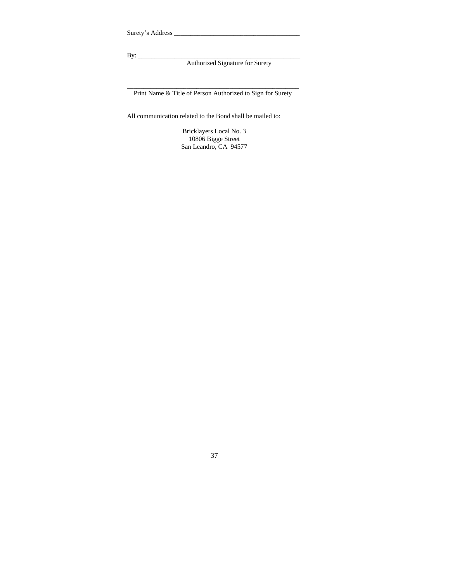Surety's Address \_\_\_\_\_\_\_\_\_\_\_\_\_\_\_\_\_\_\_\_\_\_\_\_\_\_\_\_\_\_\_\_\_\_\_\_\_\_

By: \_\_\_\_\_\_\_\_\_\_\_\_\_\_\_\_\_\_\_\_\_\_\_\_\_\_\_\_\_\_\_\_\_\_\_\_\_\_\_\_\_\_\_\_\_\_\_\_\_

Authorized Signature for Surety

\_\_\_\_\_\_\_\_\_\_\_\_\_\_\_\_\_\_\_\_\_\_\_\_\_\_\_\_\_\_\_\_\_\_\_\_\_\_\_\_\_\_\_\_\_\_\_\_\_\_\_\_ Print Name & Title of Person Authorized to Sign for Surety

All communication related to the Bond shall be mailed to:

Bricklayers Local No. 3 10806 Bigge Street San Leandro, CA 94577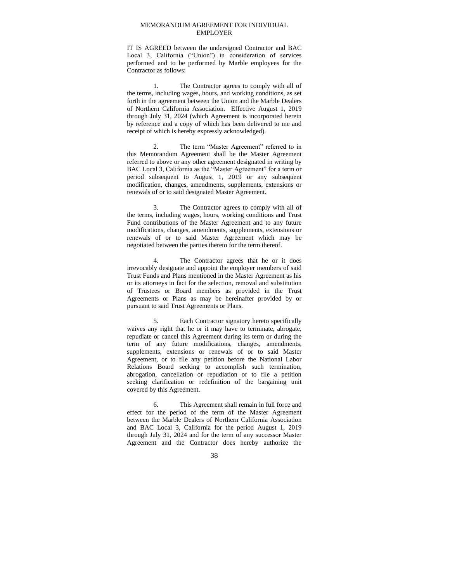#### MEMORANDUM AGREEMENT FOR INDIVIDUAL EMPLOYER

IT IS AGREED between the undersigned Contractor and BAC Local 3, California ("Union") in consideration of services performed and to be performed by Marble employees for the Contractor as follows:

1. The Contractor agrees to comply with all of the terms, including wages, hours, and working conditions, as set forth in the agreement between the Union and the Marble Dealers of Northern California Association. Effective August 1, 2019 through July 31, 2024 (which Agreement is incorporated herein by reference and a copy of which has been delivered to me and receipt of which is hereby expressly acknowledged).

2. The term "Master Agreement" referred to in this Memorandum Agreement shall be the Master Agreement referred to above or any other agreement designated in writing by BAC Local 3, California as the "Master Agreement" for a term or period subsequent to August 1, 2019 or any subsequent modification, changes, amendments, supplements, extensions or renewals of or to said designated Master Agreement.

3. The Contractor agrees to comply with all of the terms, including wages, hours, working conditions and Trust Fund contributions of the Master Agreement and to any future modifications, changes, amendments, supplements, extensions or renewals of or to said Master Agreement which may be negotiated between the parties thereto for the term thereof.

4. The Contractor agrees that he or it does irrevocably designate and appoint the employer members of said Trust Funds and Plans mentioned in the Master Agreement as his or its attorneys in fact for the selection, removal and substitution of Trustees or Board members as provided in the Trust Agreements or Plans as may be hereinafter provided by or pursuant to said Trust Agreements or Plans.

Each Contractor signatory hereto specifically waives any right that he or it may have to terminate, abrogate, repudiate or cancel this Agreement during its term or during the term of any future modifications, changes, amendments, supplements, extensions or renewals of or to said Master Agreement, or to file any petition before the National Labor Relations Board seeking to accomplish such termination, abrogation, cancellation or repudiation or to file a petition seeking clarification or redefinition of the bargaining unit covered by this Agreement.

6. This Agreement shall remain in full force and effect for the period of the term of the Master Agreement between the Marble Dealers of Northern California Association and BAC Local 3, California for the period August 1, 2019 through July 31, 2024 and for the term of any successor Master Agreement and the Contractor does hereby authorize the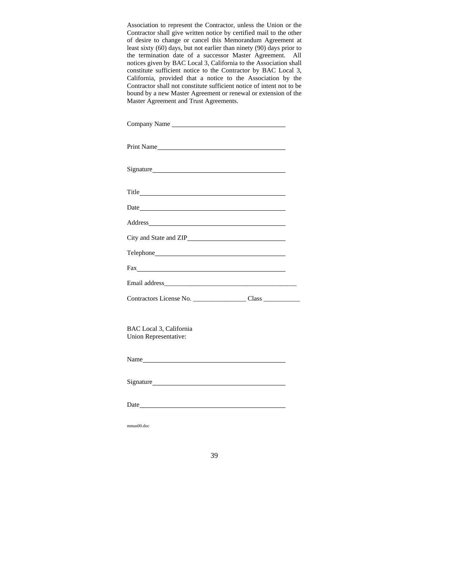Association to represent the Contractor, unless the Union or the Contractor shall give written notice by certified mail to the other of desire to change or cancel this Memorandum Agreement at least sixty (60) days, but not earlier than ninety (90) days prior to the termination date of a successor Master Agreement. All notices given by BAC Local 3, California to the Association shall constitute sufficient notice to the Contractor by BAC Local 3, California, provided that a notice to the Association by the Contractor shall not constitute sufficient notice of intent not to be bound by a new Master Agreement or renewal or extension of the Master Agreement and Trust Agreements.

| Company Name                                     |  |
|--------------------------------------------------|--|
| Print Name                                       |  |
|                                                  |  |
|                                                  |  |
|                                                  |  |
|                                                  |  |
|                                                  |  |
|                                                  |  |
|                                                  |  |
|                                                  |  |
|                                                  |  |
| BAC Local 3, California<br>Union Representative: |  |

| Name |  |
|------|--|
|      |  |
| Date |  |

mmas00.doc